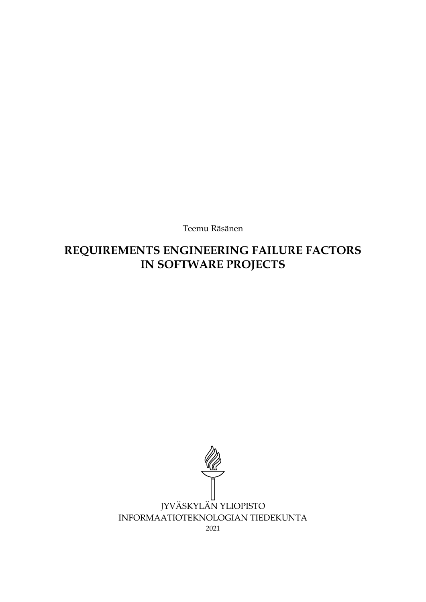Teemu Räsänen

# **REQUIREMENTS ENGINEERING FAILURE FACTORS IN SOFTWARE PROJECTS**

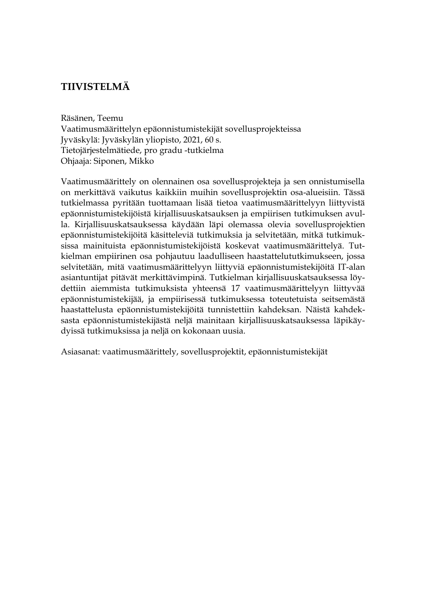# **TIIVISTELMÄ**

Räsänen, Teemu Vaatimusmäärittelyn epäonnistumistekijät sovellusprojekteissa Jyväskylä: Jyväskylän yliopisto, 2021, 60 s. Tietojärjestelmätiede, pro gradu -tutkielma Ohjaaja: Siponen, Mikko

Vaatimusmäärittely on olennainen osa sovellusprojekteja ja sen onnistumisella on merkittävä vaikutus kaikkiin muihin sovellusprojektin osa-alueisiin. Tässä tutkielmassa pyritään tuottamaan lisää tietoa vaatimusmäärittelyyn liittyvistä epäonnistumistekijöistä kirjallisuuskatsauksen ja empiirisen tutkimuksen avulla. Kirjallisuuskatsauksessa käydään läpi olemassa olevia sovellusprojektien epäonnistumistekijöitä käsitteleviä tutkimuksia ja selvitetään, mitkä tutkimuksissa mainituista epäonnistumistekijöistä koskevat vaatimusmäärittelyä. Tutkielman empiirinen osa pohjautuu laadulliseen haastattelututkimukseen, jossa selvitetään, mitä vaatimusmäärittelyyn liittyviä epäonnistumistekijöitä IT-alan asiantuntijat pitävät merkittävimpinä. Tutkielman kirjallisuuskatsauksessa löydettiin aiemmista tutkimuksista yhteensä 17 vaatimusmäärittelyyn liittyvää epäonnistumistekijää, ja empiirisessä tutkimuksessa toteutetuista seitsemästä haastattelusta epäonnistumistekijöitä tunnistettiin kahdeksan. Näistä kahdeksasta epäonnistumistekijästä neljä mainitaan kirjallisuuskatsauksessa läpikäydyissä tutkimuksissa ja neljä on kokonaan uusia.

Asiasanat: vaatimusmäärittely, sovellusprojektit, epäonnistumistekijät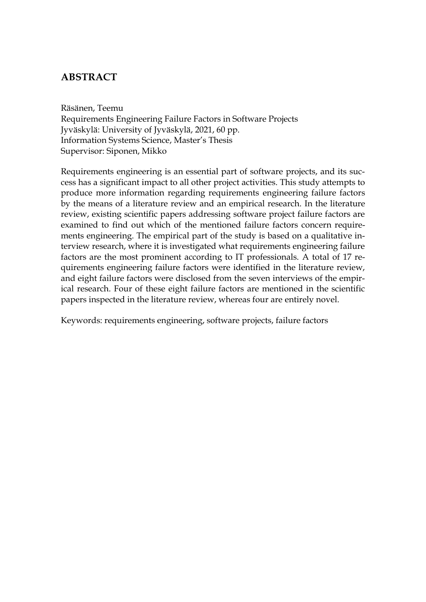## **ABSTRACT**

Räsänen, Teemu Requirements Engineering Failure Factors in Software Projects Jyväskylä: University of Jyväskylä, 2021, 60 pp. Information Systems Science, Master's Thesis Supervisor: Siponen, Mikko

Requirements engineering is an essential part of software projects, and its success has a significant impact to all other project activities. This study attempts to produce more information regarding requirements engineering failure factors by the means of a literature review and an empirical research. In the literature review, existing scientific papers addressing software project failure factors are examined to find out which of the mentioned failure factors concern requirements engineering. The empirical part of the study is based on a qualitative interview research, where it is investigated what requirements engineering failure factors are the most prominent according to IT professionals. A total of 17 requirements engineering failure factors were identified in the literature review, and eight failure factors were disclosed from the seven interviews of the empirical research. Four of these eight failure factors are mentioned in the scientific papers inspected in the literature review, whereas four are entirely novel.

Keywords: requirements engineering, software projects, failure factors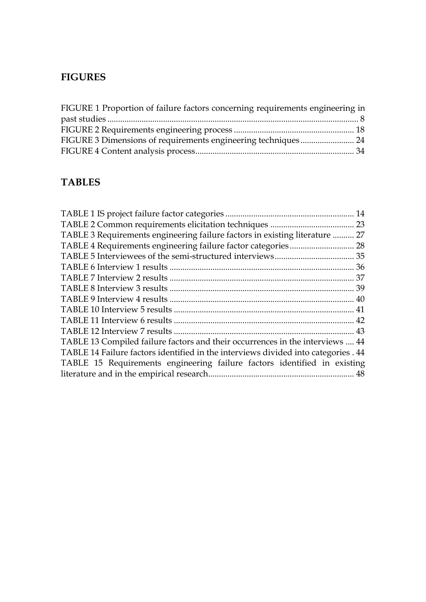# **FIGURES**

| FIGURE 1 Proportion of failure factors concerning requirements engineering in |  |
|-------------------------------------------------------------------------------|--|
|                                                                               |  |
|                                                                               |  |
|                                                                               |  |
|                                                                               |  |

# **TABLES**

| TABLE 3 Requirements engineering failure factors in existing literature  27        |    |
|------------------------------------------------------------------------------------|----|
|                                                                                    |    |
|                                                                                    |    |
|                                                                                    |    |
|                                                                                    |    |
|                                                                                    |    |
|                                                                                    |    |
|                                                                                    |    |
|                                                                                    |    |
|                                                                                    |    |
| TABLE 13 Compiled failure factors and their occurrences in the interviews  44      |    |
| TABLE 14 Failure factors identified in the interviews divided into categories . 44 |    |
| TABLE 15 Requirements engineering failure factors identified in existing           |    |
|                                                                                    | 48 |
|                                                                                    |    |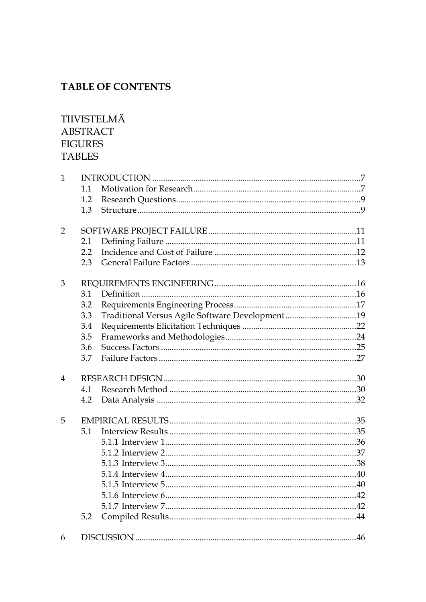# **TABLE OF CONTENTS**

# TIIVISTELMÄ **ABSTRACT FIGURES TABLES**

| $\mathbf{1}$   |     |                                                 |  |
|----------------|-----|-------------------------------------------------|--|
|                | 1.1 |                                                 |  |
|                | 1.2 |                                                 |  |
|                | 1.3 |                                                 |  |
| $\overline{2}$ |     |                                                 |  |
|                | 2.1 |                                                 |  |
|                | 2.2 |                                                 |  |
|                | 2.3 |                                                 |  |
| 3              |     |                                                 |  |
|                | 3.1 |                                                 |  |
|                | 3.2 |                                                 |  |
|                | 3.3 | Traditional Versus Agile Software Development19 |  |
|                | 3.4 |                                                 |  |
|                | 3.5 |                                                 |  |
|                | 3.6 |                                                 |  |
|                | 3.7 |                                                 |  |
| $\overline{4}$ |     |                                                 |  |
|                | 4.1 |                                                 |  |
|                | 4.2 |                                                 |  |
| 5              |     |                                                 |  |
|                | 5.1 |                                                 |  |
|                |     |                                                 |  |
|                |     |                                                 |  |
|                |     |                                                 |  |
|                |     |                                                 |  |
|                |     |                                                 |  |
|                |     |                                                 |  |
|                |     |                                                 |  |
|                | 5.2 |                                                 |  |
| 6              |     |                                                 |  |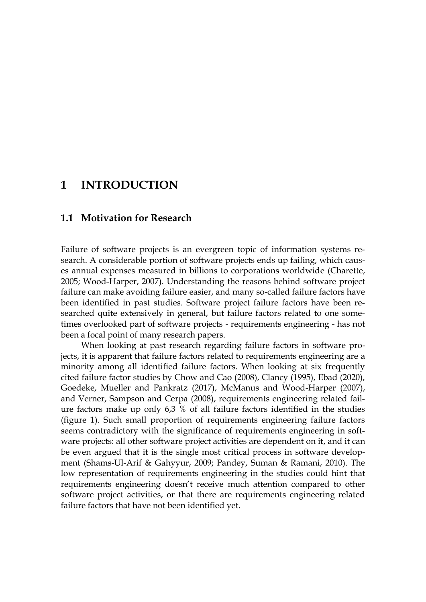# <span id="page-6-0"></span>**1 INTRODUCTION**

### <span id="page-6-1"></span>**1.1 Motivation for Research**

Failure of software projects is an evergreen topic of information systems research. A considerable portion of software projects ends up failing, which causes annual expenses measured in billions to corporations worldwide (Charette, 2005; Wood-Harper, 2007). Understanding the reasons behind software project failure can make avoiding failure easier, and many so-called failure factors have been identified in past studies. Software project failure factors have been researched quite extensively in general, but failure factors related to one sometimes overlooked part of software projects - requirements engineering - has not been a focal point of many research papers.

When looking at past research regarding failure factors in software projects, it is apparent that failure factors related to requirements engineering are a minority among all identified failure factors. When looking at six frequently cited failure factor studies by Chow and Cao (2008), Clancy (1995), Ebad (2020), Goedeke, Mueller and Pankratz (2017), McManus and Wood-Harper (2007), and Verner, Sampson and Cerpa (2008), requirements engineering related failure factors make up only 6,3 % of all failure factors identified in the studies (figure 1). Such small proportion of requirements engineering failure factors seems contradictory with the significance of requirements engineering in software projects: all other software project activities are dependent on it, and it can be even argued that it is the single most critical process in software development (Shams-Ul-Arif & Gahyyur, 2009; Pandey, Suman & Ramani, 2010). The low representation of requirements engineering in the studies could hint that requirements engineering doesn't receive much attention compared to other software project activities, or that there are requirements engineering related failure factors that have not been identified yet.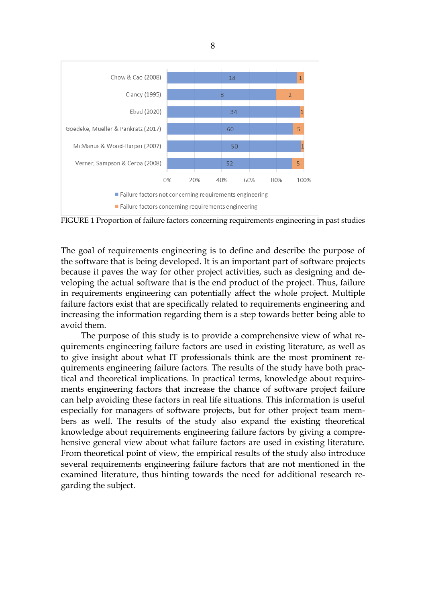

<span id="page-7-0"></span>FIGURE 1 Proportion of failure factors concerning requirements engineering in past studies

The goal of requirements engineering is to define and describe the purpose of the software that is being developed. It is an important part of software projects because it paves the way for other project activities, such as designing and developing the actual software that is the end product of the project. Thus, failure in requirements engineering can potentially affect the whole project. Multiple failure factors exist that are specifically related to requirements engineering and increasing the information regarding them is a step towards better being able to avoid them.

The purpose of this study is to provide a comprehensive view of what requirements engineering failure factors are used in existing literature, as well as to give insight about what IT professionals think are the most prominent requirements engineering failure factors. The results of the study have both practical and theoretical implications. In practical terms, knowledge about requirements engineering factors that increase the chance of software project failure can help avoiding these factors in real life situations. This information is useful especially for managers of software projects, but for other project team members as well. The results of the study also expand the existing theoretical knowledge about requirements engineering failure factors by giving a comprehensive general view about what failure factors are used in existing literature. From theoretical point of view, the empirical results of the study also introduce several requirements engineering failure factors that are not mentioned in the examined literature, thus hinting towards the need for additional research regarding the subject.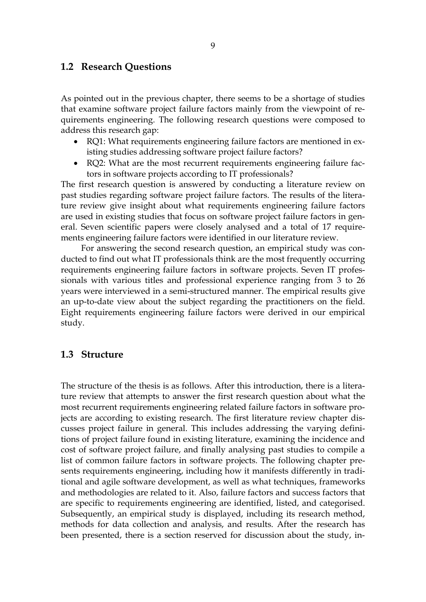### <span id="page-8-0"></span>**1.2 Research Questions**

As pointed out in the previous chapter, there seems to be a shortage of studies that examine software project failure factors mainly from the viewpoint of requirements engineering. The following research questions were composed to address this research gap:

- RQ1: What requirements engineering failure factors are mentioned in existing studies addressing software project failure factors?
- RQ2: What are the most recurrent requirements engineering failure factors in software projects according to IT professionals?

The first research question is answered by conducting a literature review on past studies regarding software project failure factors. The results of the literature review give insight about what requirements engineering failure factors are used in existing studies that focus on software project failure factors in general. Seven scientific papers were closely analysed and a total of 17 requirements engineering failure factors were identified in our literature review.

For answering the second research question, an empirical study was conducted to find out what IT professionals think are the most frequently occurring requirements engineering failure factors in software projects. Seven IT professionals with various titles and professional experience ranging from 3 to 26 years were interviewed in a semi-structured manner. The empirical results give an up-to-date view about the subject regarding the practitioners on the field. Eight requirements engineering failure factors were derived in our empirical study.

#### <span id="page-8-1"></span>**1.3 Structure**

The structure of the thesis is as follows. After this introduction, there is a literature review that attempts to answer the first research question about what the most recurrent requirements engineering related failure factors in software projects are according to existing research. The first literature review chapter discusses project failure in general. This includes addressing the varying definitions of project failure found in existing literature, examining the incidence and cost of software project failure, and finally analysing past studies to compile a list of common failure factors in software projects. The following chapter presents requirements engineering, including how it manifests differently in traditional and agile software development, as well as what techniques, frameworks and methodologies are related to it. Also, failure factors and success factors that are specific to requirements engineering are identified, listed, and categorised. Subsequently, an empirical study is displayed, including its research method, methods for data collection and analysis, and results. After the research has been presented, there is a section reserved for discussion about the study, in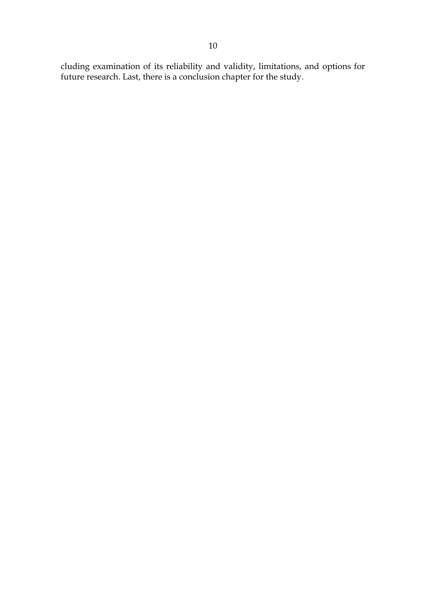cluding examination of its reliability and validity, limitations, and options for future research. Last, there is a conclusion chapter for the study.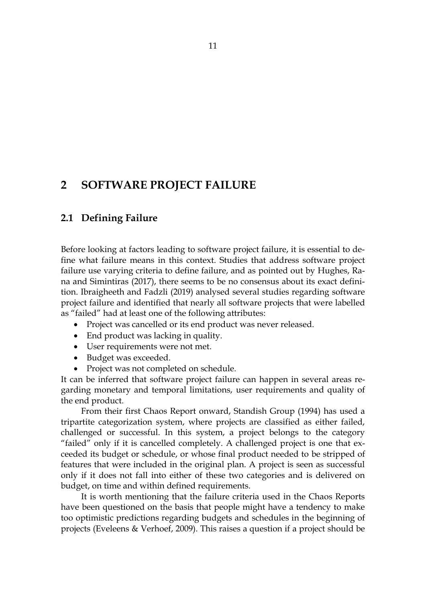# <span id="page-10-0"></span>**2 SOFTWARE PROJECT FAILURE**

## <span id="page-10-1"></span>**2.1 Defining Failure**

Before looking at factors leading to software project failure, it is essential to define what failure means in this context. Studies that address software project failure use varying criteria to define failure, and as pointed out by Hughes, Rana and Simintiras (2017), there seems to be no consensus about its exact definition. Ibraigheeth and Fadzli (2019) analysed several studies regarding software project failure and identified that nearly all software projects that were labelled as "failed" had at least one of the following attributes:

- Project was cancelled or its end product was never released.
- End product was lacking in quality.
- User requirements were not met.
- Budget was exceeded.
- Project was not completed on schedule.

It can be inferred that software project failure can happen in several areas regarding monetary and temporal limitations, user requirements and quality of the end product.

From their first Chaos Report onward, Standish Group (1994) has used a tripartite categorization system, where projects are classified as either failed, challenged or successful. In this system, a project belongs to the category "failed" only if it is cancelled completely. A challenged project is one that exceeded its budget or schedule, or whose final product needed to be stripped of features that were included in the original plan. A project is seen as successful only if it does not fall into either of these two categories and is delivered on budget, on time and within defined requirements.

It is worth mentioning that the failure criteria used in the Chaos Reports have been questioned on the basis that people might have a tendency to make too optimistic predictions regarding budgets and schedules in the beginning of projects (Eveleens & Verhoef, 2009). This raises a question if a project should be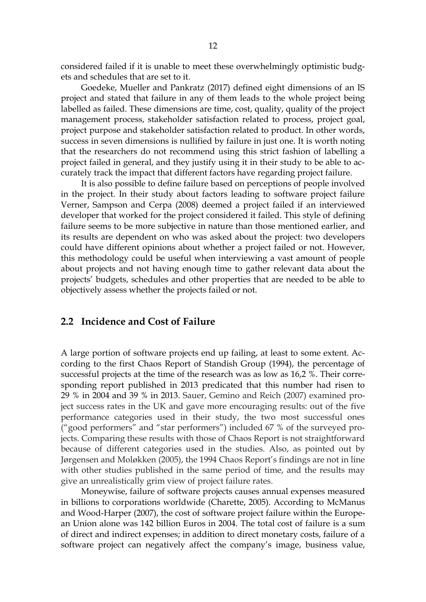considered failed if it is unable to meet these overwhelmingly optimistic budgets and schedules that are set to it.

Goedeke, Mueller and Pankratz (2017) defined eight dimensions of an IS project and stated that failure in any of them leads to the whole project being labelled as failed. These dimensions are time, cost, quality, quality of the project management process, stakeholder satisfaction related to process, project goal, project purpose and stakeholder satisfaction related to product. In other words, success in seven dimensions is nullified by failure in just one. It is worth noting that the researchers do not recommend using this strict fashion of labelling a project failed in general, and they justify using it in their study to be able to accurately track the impact that different factors have regarding project failure.

It is also possible to define failure based on perceptions of people involved in the project. In their study about factors leading to software project failure Verner, Sampson and Cerpa (2008) deemed a project failed if an interviewed developer that worked for the project considered it failed. This style of defining failure seems to be more subjective in nature than those mentioned earlier, and its results are dependent on who was asked about the project: two developers could have different opinions about whether a project failed or not. However, this methodology could be useful when interviewing a vast amount of people about projects and not having enough time to gather relevant data about the projects' budgets, schedules and other properties that are needed to be able to objectively assess whether the projects failed or not.

#### <span id="page-11-0"></span>**2.2 Incidence and Cost of Failure**

A large portion of software projects end up failing, at least to some extent. According to the first Chaos Report of Standish Group (1994), the percentage of successful projects at the time of the research was as low as 16,2 %. Their corresponding report published in 2013 predicated that this number had risen to 29 % in 2004 and 39 % in 2013. Sauer, Gemino and Reich (2007) examined project success rates in the UK and gave more encouraging results: out of the five performance categories used in their study, the two most successful ones ("good performers" and "star performers") included 67 % of the surveyed projects. Comparing these results with those of Chaos Report is not straightforward because of different categories used in the studies. Also, as pointed out by Jørgensen and Moløkken (2005), the 1994 Chaos Report's findings are not in line with other studies published in the same period of time, and the results may give an unrealistically grim view of project failure rates.

Moneywise, failure of software projects causes annual expenses measured in billions to corporations worldwide (Charette, 2005). According to McManus and Wood-Harper (2007), the cost of software project failure within the European Union alone was 142 billion Euros in 2004. The total cost of failure is a sum of direct and indirect expenses; in addition to direct monetary costs, failure of a software project can negatively affect the company's image, business value,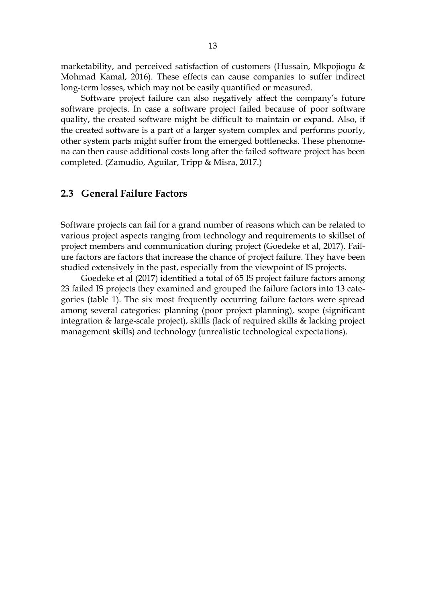marketability, and perceived satisfaction of customers (Hussain, Mkpojiogu & Mohmad Kamal, 2016). These effects can cause companies to suffer indirect long-term losses, which may not be easily quantified or measured.

Software project failure can also negatively affect the company's future software projects. In case a software project failed because of poor software quality, the created software might be difficult to maintain or expand. Also, if the created software is a part of a larger system complex and performs poorly, other system parts might suffer from the emerged bottlenecks. These phenomena can then cause additional costs long after the failed software project has been completed. (Zamudio, Aguilar, Tripp & Misra, 2017.)

## <span id="page-12-0"></span>**2.3 General Failure Factors**

Software projects can fail for a grand number of reasons which can be related to various project aspects ranging from technology and requirements to skillset of project members and communication during project (Goedeke et al, 2017). Failure factors are factors that increase the chance of project failure. They have been studied extensively in the past, especially from the viewpoint of IS projects.

Goedeke et al (2017) identified a total of 65 IS project failure factors among 23 failed IS projects they examined and grouped the failure factors into 13 categories (table 1). The six most frequently occurring failure factors were spread among several categories: planning (poor project planning), scope (significant integration & large-scale project), skills (lack of required skills & lacking project management skills) and technology (unrealistic technological expectations).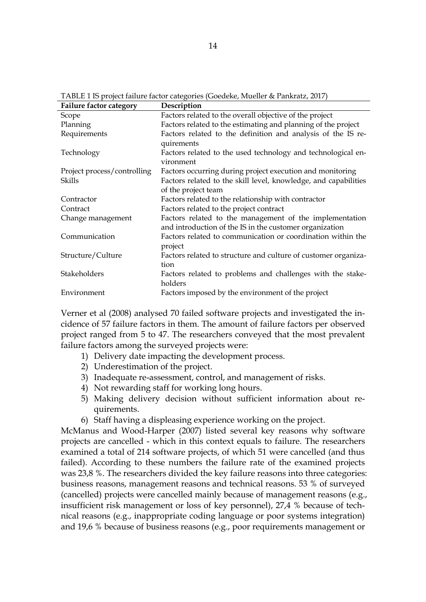| Failure factor category     | Description                                                                                                        |
|-----------------------------|--------------------------------------------------------------------------------------------------------------------|
| Scope                       | Factors related to the overall objective of the project                                                            |
| Planning                    | Factors related to the estimating and planning of the project                                                      |
| Requirements                | Factors related to the definition and analysis of the IS re-<br>quirements                                         |
| Technology                  | Factors related to the used technology and technological en-<br>vironment                                          |
| Project process/controlling | Factors occurring during project execution and monitoring                                                          |
| Skills                      | Factors related to the skill level, knowledge, and capabilities<br>of the project team                             |
| Contractor                  | Factors related to the relationship with contractor                                                                |
| Contract                    | Factors related to the project contract                                                                            |
| Change management           | Factors related to the management of the implementation<br>and introduction of the IS in the customer organization |
| Communication               | Factors related to communication or coordination within the<br>project                                             |
| Structure/Culture           | Factors related to structure and culture of customer organiza-<br>tion                                             |
| Stakeholders                | Factors related to problems and challenges with the stake-<br>holders                                              |
| Environment                 | Factors imposed by the environment of the project                                                                  |

<span id="page-13-0"></span>TABLE 1 IS project failure factor categories (Goedeke, Mueller & Pankratz, 2017)

Verner et al (2008) analysed 70 failed software projects and investigated the incidence of 57 failure factors in them. The amount of failure factors per observed project ranged from 5 to 47. The researchers conveyed that the most prevalent failure factors among the surveyed projects were:

- 1) Delivery date impacting the development process.
- 2) Underestimation of the project.
- 3) Inadequate re-assessment, control, and management of risks.
- 4) Not rewarding staff for working long hours.
- 5) Making delivery decision without sufficient information about requirements.
- 6) Staff having a displeasing experience working on the project.

McManus and Wood-Harper (2007) listed several key reasons why software projects are cancelled - which in this context equals to failure. The researchers examined a total of 214 software projects, of which 51 were cancelled (and thus failed). According to these numbers the failure rate of the examined projects was 23,8 %. The researchers divided the key failure reasons into three categories: business reasons, management reasons and technical reasons. 53 % of surveyed (cancelled) projects were cancelled mainly because of management reasons (e.g., insufficient risk management or loss of key personnel), 27,4 % because of technical reasons (e.g., inappropriate coding language or poor systems integration) and 19,6 % because of business reasons (e.g., poor requirements management or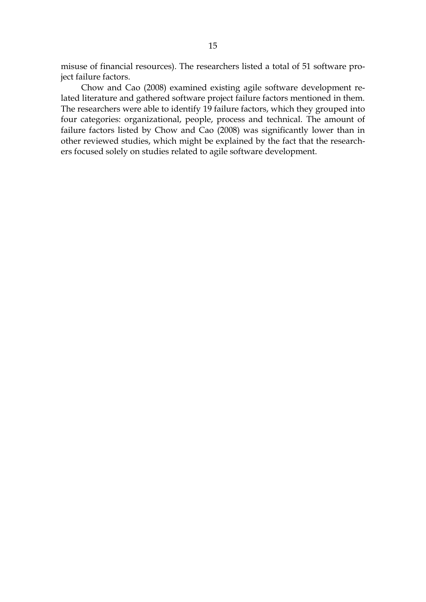misuse of financial resources). The researchers listed a total of 51 software project failure factors.

Chow and Cao (2008) examined existing agile software development related literature and gathered software project failure factors mentioned in them. The researchers were able to identify 19 failure factors, which they grouped into four categories: organizational, people, process and technical. The amount of failure factors listed by Chow and Cao (2008) was significantly lower than in other reviewed studies, which might be explained by the fact that the researchers focused solely on studies related to agile software development.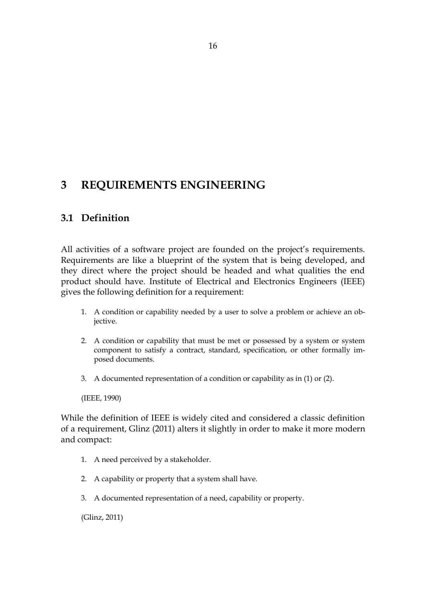# <span id="page-15-0"></span>**3 REQUIREMENTS ENGINEERING**

## <span id="page-15-1"></span>**3.1 Definition**

All activities of a software project are founded on the project's requirements. Requirements are like a blueprint of the system that is being developed, and they direct where the project should be headed and what qualities the end product should have. Institute of Electrical and Electronics Engineers (IEEE) gives the following definition for a requirement:

- 1. A condition or capability needed by a user to solve a problem or achieve an objective.
- 2. A condition or capability that must be met or possessed by a system or system component to satisfy a contract, standard, specification, or other formally imposed documents.
- 3. A documented representation of a condition or capability as in (1) or (2).

(IEEE, 1990)

While the definition of IEEE is widely cited and considered a classic definition of a requirement, Glinz (2011) alters it slightly in order to make it more modern and compact:

- 1. A need perceived by a stakeholder.
- 2. A capability or property that a system shall have.
- 3. A documented representation of a need, capability or property.

(Glinz, 2011)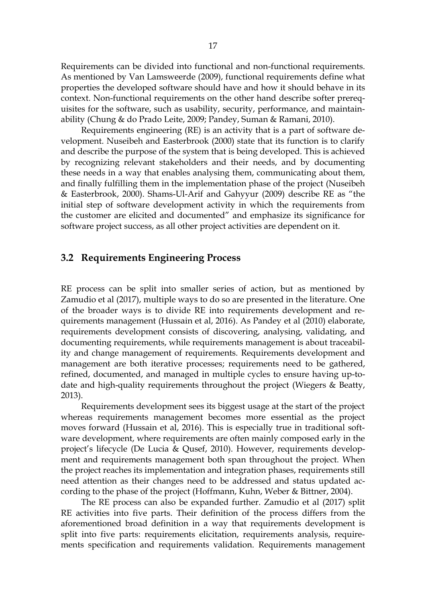Requirements can be divided into functional and non-functional requirements. As mentioned by Van Lamsweerde (2009), functional requirements define what properties the developed software should have and how it should behave in its context. Non-functional requirements on the other hand describe softer prerequisites for the software, such as usability, security, performance, and maintainability (Chung & do Prado Leite, 2009; Pandey, Suman & Ramani, 2010).

Requirements engineering (RE) is an activity that is a part of software development. Nuseibeh and Easterbrook (2000) state that its function is to clarify and describe the purpose of the system that is being developed. This is achieved by recognizing relevant stakeholders and their needs, and by documenting these needs in a way that enables analysing them, communicating about them, and finally fulfilling them in the implementation phase of the project (Nuseibeh & Easterbrook, 2000). Shams-Ul-Arif and Gahyyur (2009) describe RE as "the initial step of software development activity in which the requirements from the customer are elicited and documented" and emphasize its significance for software project success, as all other project activities are dependent on it.

#### <span id="page-16-0"></span>**3.2 Requirements Engineering Process**

RE process can be split into smaller series of action, but as mentioned by Zamudio et al (2017), multiple ways to do so are presented in the literature. One of the broader ways is to divide RE into requirements development and requirements management (Hussain et al, 2016). As Pandey et al (2010) elaborate, requirements development consists of discovering, analysing, validating, and documenting requirements, while requirements management is about traceability and change management of requirements. Requirements development and management are both iterative processes; requirements need to be gathered, refined, documented, and managed in multiple cycles to ensure having up-todate and high-quality requirements throughout the project (Wiegers & Beatty, 2013).

Requirements development sees its biggest usage at the start of the project whereas requirements management becomes more essential as the project moves forward (Hussain et al, 2016). This is especially true in traditional software development, where requirements are often mainly composed early in the project's lifecycle (De Lucia & Qusef, 2010). However, requirements development and requirements management both span throughout the project. When the project reaches its implementation and integration phases, requirements still need attention as their changes need to be addressed and status updated according to the phase of the project (Hoffmann, Kuhn, Weber & Bittner, 2004).

The RE process can also be expanded further. Zamudio et al (2017) split RE activities into five parts. Their definition of the process differs from the aforementioned broad definition in a way that requirements development is split into five parts: requirements elicitation, requirements analysis, requirements specification and requirements validation. Requirements management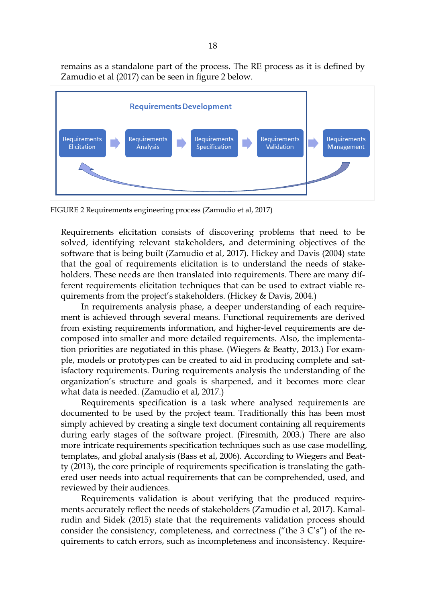remains as a standalone part of the process. The RE process as it is defined by Zamudio et al (2017) can be seen in figure 2 below.



FIGURE 2 Requirements engineering process (Zamudio et al, 2017)

Requirements elicitation consists of discovering problems that need to be solved, identifying relevant stakeholders, and determining objectives of the software that is being built (Zamudio et al, 2017). Hickey and Davis (2004) state that the goal of requirements elicitation is to understand the needs of stakeholders. These needs are then translated into requirements. There are many different requirements elicitation techniques that can be used to extract viable requirements from the project's stakeholders. (Hickey & Davis, 2004.)

In requirements analysis phase, a deeper understanding of each requirement is achieved through several means. Functional requirements are derived from existing requirements information, and higher-level requirements are decomposed into smaller and more detailed requirements. Also, the implementation priorities are negotiated in this phase. (Wiegers & Beatty, 2013.) For example, models or prototypes can be created to aid in producing complete and satisfactory requirements. During requirements analysis the understanding of the organization's structure and goals is sharpened, and it becomes more clear what data is needed. (Zamudio et al, 2017.)

Requirements specification is a task where analysed requirements are documented to be used by the project team. Traditionally this has been most simply achieved by creating a single text document containing all requirements during early stages of the software project. (Firesmith, 2003.) There are also more intricate requirements specification techniques such as use case modelling, templates, and global analysis (Bass et al, 2006). According to Wiegers and Beatty (2013), the core principle of requirements specification is translating the gathered user needs into actual requirements that can be comprehended, used, and reviewed by their audiences.

Requirements validation is about verifying that the produced requirements accurately reflect the needs of stakeholders (Zamudio et al, 2017). Kamalrudin and Sidek (2015) state that the requirements validation process should consider the consistency, completeness, and correctness ("the  $3 C's$ ") of the requirements to catch errors, such as incompleteness and inconsistency. Require-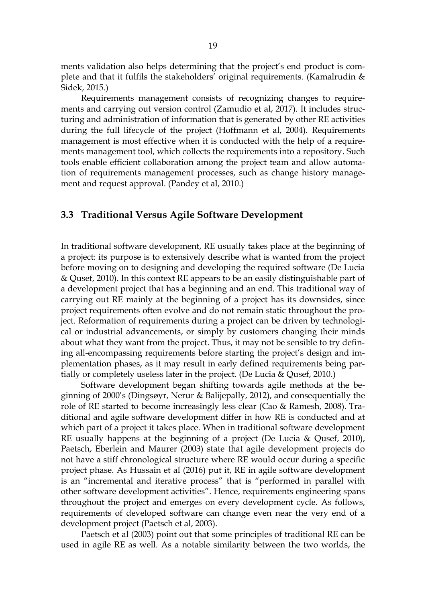ments validation also helps determining that the project's end product is complete and that it fulfils the stakeholders' original requirements. (Kamalrudin & Sidek, 2015.)

Requirements management consists of recognizing changes to requirements and carrying out version control (Zamudio et al, 2017). It includes structuring and administration of information that is generated by other RE activities during the full lifecycle of the project (Hoffmann et al, 2004). Requirements management is most effective when it is conducted with the help of a requirements management tool, which collects the requirements into a repository. Such tools enable efficient collaboration among the project team and allow automation of requirements management processes, such as change history management and request approval. (Pandey et al, 2010.)

### <span id="page-18-0"></span>**3.3 Traditional Versus Agile Software Development**

In traditional software development, RE usually takes place at the beginning of a project: its purpose is to extensively describe what is wanted from the project before moving on to designing and developing the required software (De Lucia & Qusef, 2010). In this context RE appears to be an easily distinguishable part of a development project that has a beginning and an end. This traditional way of carrying out RE mainly at the beginning of a project has its downsides, since project requirements often evolve and do not remain static throughout the project. Reformation of requirements during a project can be driven by technological or industrial advancements, or simply by customers changing their minds about what they want from the project. Thus, it may not be sensible to try defining all-encompassing requirements before starting the project's design and implementation phases, as it may result in early defined requirements being partially or completely useless later in the project. (De Lucia & Qusef, 2010.)

Software development began shifting towards agile methods at the beginning of 2000's (Dingsøyr, Nerur & Balijepally, 2012), and consequentially the role of RE started to become increasingly less clear (Cao & Ramesh, 2008). Traditional and agile software development differ in how RE is conducted and at which part of a project it takes place. When in traditional software development RE usually happens at the beginning of a project (De Lucia & Qusef, 2010), Paetsch, Eberlein and Maurer (2003) state that agile development projects do not have a stiff chronological structure where RE would occur during a specific project phase. As Hussain et al (2016) put it, RE in agile software development is an "incremental and iterative process" that is "performed in parallel with other software development activities". Hence, requirements engineering spans throughout the project and emerges on every development cycle. As follows, requirements of developed software can change even near the very end of a development project (Paetsch et al, 2003).

Paetsch et al (2003) point out that some principles of traditional RE can be used in agile RE as well. As a notable similarity between the two worlds, the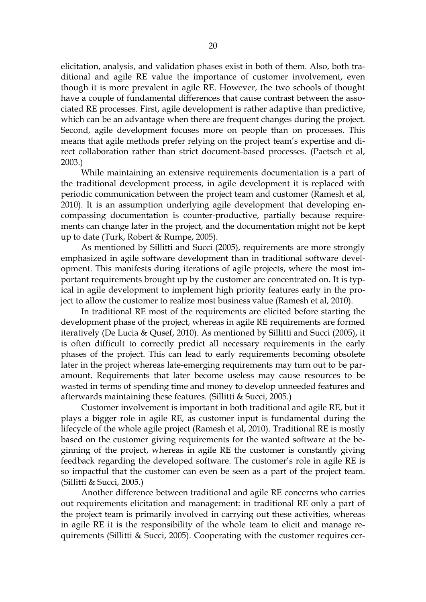elicitation, analysis, and validation phases exist in both of them. Also, both traditional and agile RE value the importance of customer involvement, even though it is more prevalent in agile RE. However, the two schools of thought have a couple of fundamental differences that cause contrast between the associated RE processes. First, agile development is rather adaptive than predictive, which can be an advantage when there are frequent changes during the project. Second, agile development focuses more on people than on processes. This means that agile methods prefer relying on the project team's expertise and direct collaboration rather than strict document-based processes. (Paetsch et al, 2003.)

While maintaining an extensive requirements documentation is a part of the traditional development process, in agile development it is replaced with periodic communication between the project team and customer (Ramesh et al, 2010). It is an assumption underlying agile development that developing encompassing documentation is counter-productive, partially because requirements can change later in the project, and the documentation might not be kept up to date (Turk, Robert & Rumpe, 2005).

As mentioned by Sillitti and Succi (2005), requirements are more strongly emphasized in agile software development than in traditional software development. This manifests during iterations of agile projects, where the most important requirements brought up by the customer are concentrated on. It is typical in agile development to implement high priority features early in the project to allow the customer to realize most business value (Ramesh et al, 2010).

In traditional RE most of the requirements are elicited before starting the development phase of the project, whereas in agile RE requirements are formed iteratively (De Lucia & Qusef, 2010). As mentioned by Sillitti and Succi (2005), it is often difficult to correctly predict all necessary requirements in the early phases of the project. This can lead to early requirements becoming obsolete later in the project whereas late-emerging requirements may turn out to be paramount. Requirements that later become useless may cause resources to be wasted in terms of spending time and money to develop unneeded features and afterwards maintaining these features. (Sillitti & Succi, 2005.)

Customer involvement is important in both traditional and agile RE, but it plays a bigger role in agile RE, as customer input is fundamental during the lifecycle of the whole agile project (Ramesh et al, 2010). Traditional RE is mostly based on the customer giving requirements for the wanted software at the beginning of the project, whereas in agile RE the customer is constantly giving feedback regarding the developed software. The customer's role in agile RE is so impactful that the customer can even be seen as a part of the project team. (Sillitti & Succi, 2005.)

Another difference between traditional and agile RE concerns who carries out requirements elicitation and management: in traditional RE only a part of the project team is primarily involved in carrying out these activities, whereas in agile RE it is the responsibility of the whole team to elicit and manage requirements (Sillitti & Succi, 2005). Cooperating with the customer requires cer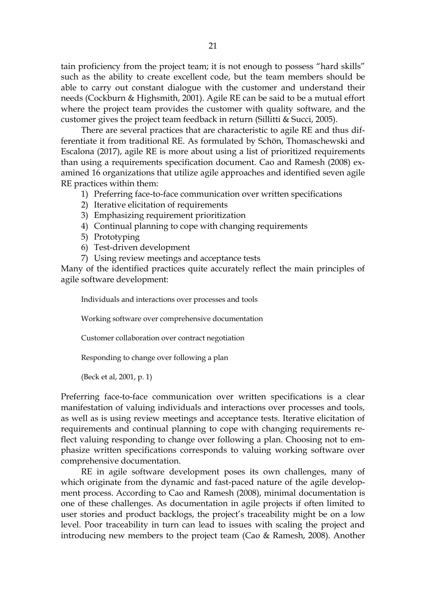tain proficiency from the project team; it is not enough to possess "hard skills" such as the ability to create excellent code, but the team members should be able to carry out constant dialogue with the customer and understand their needs (Cockburn & Highsmith, 2001). Agile RE can be said to be a mutual effort where the project team provides the customer with quality software, and the customer gives the project team feedback in return (Sillitti & Succi, 2005).

There are several practices that are characteristic to agile RE and thus differentiate it from traditional RE. As formulated by Schön, Thomaschewski and Escalona (2017), agile RE is more about using a list of prioritized requirements than using a requirements specification document. Cao and Ramesh (2008) examined 16 organizations that utilize agile approaches and identified seven agile RE practices within them:

- 1) Preferring face-to-face communication over written specifications
- 2) Iterative elicitation of requirements
- 3) Emphasizing requirement prioritization
- 4) Continual planning to cope with changing requirements
- 5) Prototyping
- 6) Test-driven development
- 7) Using review meetings and acceptance tests

Many of the identified practices quite accurately reflect the main principles of agile software development:

Individuals and interactions over processes and tools

Working software over comprehensive documentation

Customer collaboration over contract negotiation

Responding to change over following a plan

(Beck et al, 2001, p. 1)

Preferring face-to-face communication over written specifications is a clear manifestation of valuing individuals and interactions over processes and tools, as well as is using review meetings and acceptance tests. Iterative elicitation of requirements and continual planning to cope with changing requirements reflect valuing responding to change over following a plan. Choosing not to emphasize written specifications corresponds to valuing working software over comprehensive documentation.

RE in agile software development poses its own challenges, many of which originate from the dynamic and fast-paced nature of the agile development process. According to Cao and Ramesh (2008), minimal documentation is one of these challenges. As documentation in agile projects if often limited to user stories and product backlogs, the project's traceability might be on a low level. Poor traceability in turn can lead to issues with scaling the project and introducing new members to the project team (Cao & Ramesh, 2008). Another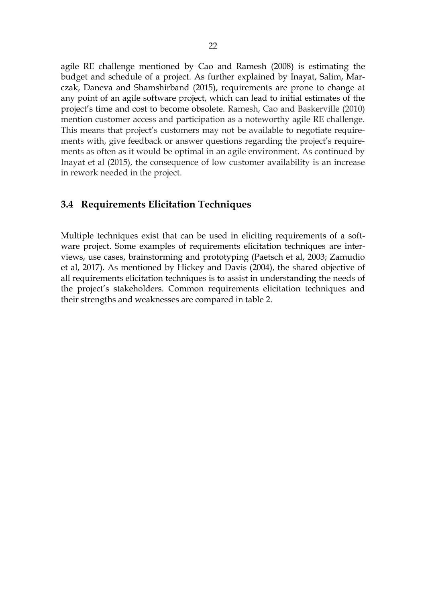agile RE challenge mentioned by Cao and Ramesh (2008) is estimating the budget and schedule of a project. As further explained by Inayat, Salim, Marczak, Daneva and Shamshirband (2015), requirements are prone to change at any point of an agile software project, which can lead to initial estimates of the project's time and cost to become obsolete. Ramesh, Cao and Baskerville (2010) mention customer access and participation as a noteworthy agile RE challenge. This means that project's customers may not be available to negotiate requirements with, give feedback or answer questions regarding the project's requirements as often as it would be optimal in an agile environment. As continued by Inayat et al (2015), the consequence of low customer availability is an increase in rework needed in the project.

## <span id="page-21-0"></span>**3.4 Requirements Elicitation Techniques**

Multiple techniques exist that can be used in eliciting requirements of a software project. Some examples of requirements elicitation techniques are interviews, use cases, brainstorming and prototyping (Paetsch et al, 2003; Zamudio et al, 2017). As mentioned by Hickey and Davis (2004), the shared objective of all requirements elicitation techniques is to assist in understanding the needs of the project's stakeholders. Common requirements elicitation techniques and their strengths and weaknesses are compared in table 2.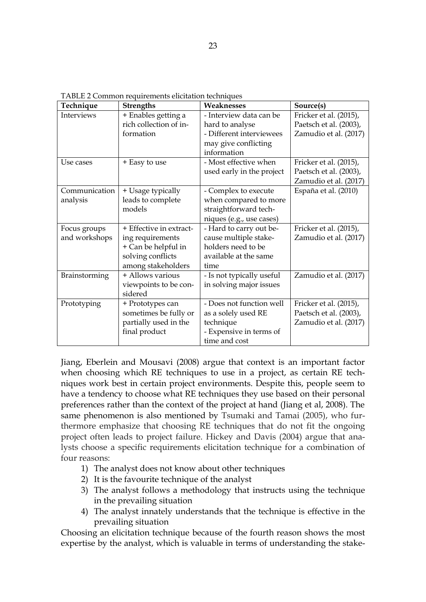| Technique     | <b>Strengths</b>        | Weaknesses                | Source(s)              |
|---------------|-------------------------|---------------------------|------------------------|
| Interviews    | + Enables getting a     | - Interview data can be   | Fricker et al. (2015), |
|               | rich collection of in-  | hard to analyse           | Paetsch et al. (2003), |
|               | formation               | - Different interviewees  | Zamudio et al. (2017)  |
|               |                         | may give conflicting      |                        |
|               |                         | information               |                        |
| Use cases     | + Easy to use           | - Most effective when     | Fricker et al. (2015), |
|               |                         | used early in the project | Paetsch et al. (2003), |
|               |                         |                           | Zamudio et al. (2017)  |
| Communication | + Usage typically       | - Complex to execute      | España et al. (2010)   |
| analysis      | leads to complete       | when compared to more     |                        |
|               | models                  | straightforward tech-     |                        |
|               |                         | niques (e.g., use cases)  |                        |
| Focus groups  | + Effective in extract- | - Hard to carry out be-   | Fricker et al. (2015), |
| and workshops | ing requirements        | cause multiple stake-     | Zamudio et al. (2017)  |
|               | + Can be helpful in     | holders need to be        |                        |
|               | solving conflicts       | available at the same     |                        |
|               | among stakeholders      | time                      |                        |
| Brainstorming | + Allows various        | - Is not typically useful | Zamudio et al. (2017)  |
|               | viewpoints to be con-   | in solving major issues   |                        |
|               | sidered                 |                           |                        |
| Prototyping   | + Prototypes can        | - Does not function well  | Fricker et al. (2015), |
|               | sometimes be fully or   | as a solely used RE       | Paetsch et al. (2003), |
|               | partially used in the   | technique                 | Zamudio et al. (2017)  |
|               | final product           | - Expensive in terms of   |                        |
|               |                         | time and cost             |                        |

<span id="page-22-0"></span>TABLE 2 Common requirements elicitation techniques

Jiang, Eberlein and Mousavi (2008) argue that context is an important factor when choosing which RE techniques to use in a project, as certain RE techniques work best in certain project environments. Despite this, people seem to have a tendency to choose what RE techniques they use based on their personal preferences rather than the context of the project at hand (Jiang et al, 2008). The same phenomenon is also mentioned by Tsumaki and Tamai (2005), who furthermore emphasize that choosing RE techniques that do not fit the ongoing project often leads to project failure. Hickey and Davis (2004) argue that analysts choose a specific requirements elicitation technique for a combination of four reasons:

- 1) The analyst does not know about other techniques
- 2) It is the favourite technique of the analyst
- 3) The analyst follows a methodology that instructs using the technique in the prevailing situation
- 4) The analyst innately understands that the technique is effective in the prevailing situation

Choosing an elicitation technique because of the fourth reason shows the most expertise by the analyst, which is valuable in terms of understanding the stake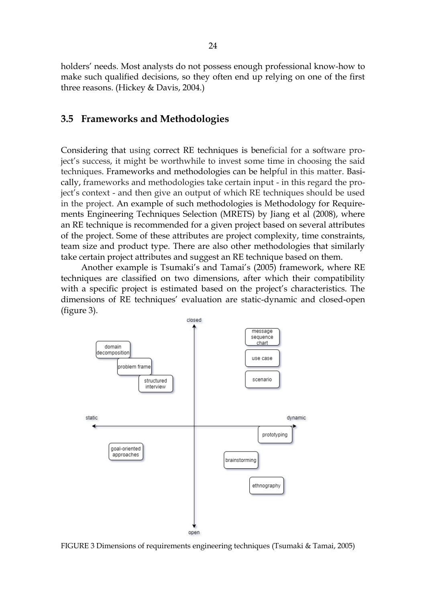holders' needs. Most analysts do not possess enough professional know-how to make such qualified decisions, so they often end up relying on one of the first three reasons. (Hickey & Davis, 2004.)

#### <span id="page-23-1"></span>**3.5 Frameworks and Methodologies**

Considering that using correct RE techniques is beneficial for a software project's success, it might be worthwhile to invest some time in choosing the said techniques. Frameworks and methodologies can be helpful in this matter. Basically, frameworks and methodologies take certain input - in this regard the project's context - and then give an output of which RE techniques should be used in the project. An example of such methodologies is Methodology for Requirements Engineering Techniques Selection (MRETS) by Jiang et al (2008), where an RE technique is recommended for a given project based on several attributes of the project. Some of these attributes are project complexity, time constraints, team size and product type. There are also other methodologies that similarly take certain project attributes and suggest an RE technique based on them.

Another example is Tsumaki's and Tamai's (2005) framework, where RE techniques are classified on two dimensions, after which their compatibility with a specific project is estimated based on the project's characteristics. The dimensions of RE techniques' evaluation are static-dynamic and closed-open (figure 3).



<span id="page-23-0"></span>FIGURE 3 Dimensions of requirements engineering techniques (Tsumaki & Tamai, 2005)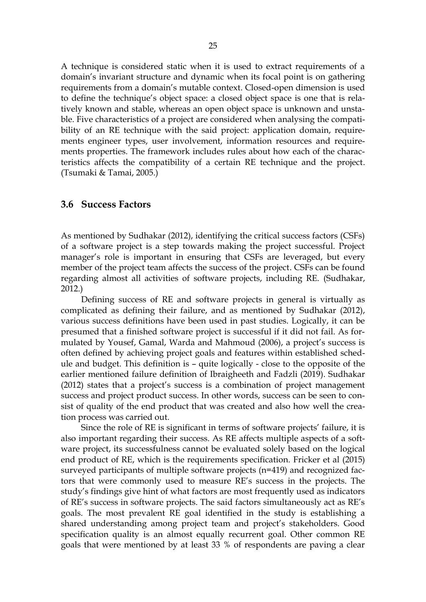A technique is considered static when it is used to extract requirements of a domain's invariant structure and dynamic when its focal point is on gathering requirements from a domain's mutable context. Closed-open dimension is used to define the technique's object space: a closed object space is one that is relatively known and stable, whereas an open object space is unknown and unstable. Five characteristics of a project are considered when analysing the compatibility of an RE technique with the said project: application domain, requirements engineer types, user involvement, information resources and requirements properties. The framework includes rules about how each of the characteristics affects the compatibility of a certain RE technique and the project. (Tsumaki & Tamai, 2005.)

#### <span id="page-24-0"></span>**3.6 Success Factors**

As mentioned by Sudhakar (2012), identifying the critical success factors (CSFs) of a software project is a step towards making the project successful. Project manager's role is important in ensuring that CSFs are leveraged, but every member of the project team affects the success of the project. CSFs can be found regarding almost all activities of software projects, including RE. (Sudhakar, 2012.)

Defining success of RE and software projects in general is virtually as complicated as defining their failure, and as mentioned by Sudhakar (2012), various success definitions have been used in past studies. Logically, it can be presumed that a finished software project is successful if it did not fail. As formulated by Yousef, Gamal, Warda and Mahmoud (2006), a project's success is often defined by achieving project goals and features within established schedule and budget. This definition is – quite logically - close to the opposite of the earlier mentioned failure definition of Ibraigheeth and Fadzli (2019). Sudhakar (2012) states that a project's success is a combination of project management success and project product success. In other words, success can be seen to consist of quality of the end product that was created and also how well the creation process was carried out.

Since the role of RE is significant in terms of software projects' failure, it is also important regarding their success. As RE affects multiple aspects of a software project, its successfulness cannot be evaluated solely based on the logical end product of RE, which is the requirements specification. Fricker et al (2015) surveyed participants of multiple software projects (n=419) and recognized factors that were commonly used to measure RE's success in the projects. The study's findings give hint of what factors are most frequently used as indicators of RE's success in software projects. The said factors simultaneously act as RE's goals. The most prevalent RE goal identified in the study is establishing a shared understanding among project team and project's stakeholders. Good specification quality is an almost equally recurrent goal. Other common RE goals that were mentioned by at least 33 % of respondents are paving a clear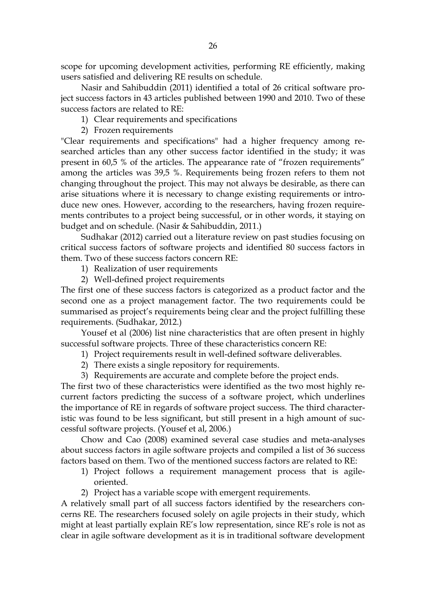scope for upcoming development activities, performing RE efficiently, making users satisfied and delivering RE results on schedule.

Nasir and Sahibuddin (2011) identified a total of 26 critical software project success factors in 43 articles published between 1990 and 2010. Two of these success factors are related to RE:

- 1) Clear requirements and specifications
- 2) Frozen requirements

"Clear requirements and specifications" had a higher frequency among researched articles than any other success factor identified in the study; it was present in 60,5 % of the articles. The appearance rate of "frozen requirements" among the articles was 39,5 %. Requirements being frozen refers to them not changing throughout the project. This may not always be desirable, as there can arise situations where it is necessary to change existing requirements or introduce new ones. However, according to the researchers, having frozen requirements contributes to a project being successful, or in other words, it staying on budget and on schedule. (Nasir & Sahibuddin, 2011.)

Sudhakar (2012) carried out a literature review on past studies focusing on critical success factors of software projects and identified 80 success factors in them. Two of these success factors concern RE:

1) Realization of user requirements

2) Well-defined project requirements

The first one of these success factors is categorized as a product factor and the second one as a project management factor. The two requirements could be summarised as project's requirements being clear and the project fulfilling these requirements. (Sudhakar, 2012.)

Yousef et al (2006) list nine characteristics that are often present in highly successful software projects. Three of these characteristics concern RE:

- 1) Project requirements result in well-defined software deliverables.
- 2) There exists a single repository for requirements.
- 3) Requirements are accurate and complete before the project ends.

The first two of these characteristics were identified as the two most highly recurrent factors predicting the success of a software project, which underlines the importance of RE in regards of software project success. The third characteristic was found to be less significant, but still present in a high amount of successful software projects. (Yousef et al, 2006.)

Chow and Cao (2008) examined several case studies and meta-analyses about success factors in agile software projects and compiled a list of 36 success factors based on them. Two of the mentioned success factors are related to RE:

- 1) Project follows a requirement management process that is agileoriented.
- 2) Project has a variable scope with emergent requirements.

A relatively small part of all success factors identified by the researchers concerns RE. The researchers focused solely on agile projects in their study, which might at least partially explain RE's low representation, since RE's role is not as clear in agile software development as it is in traditional software development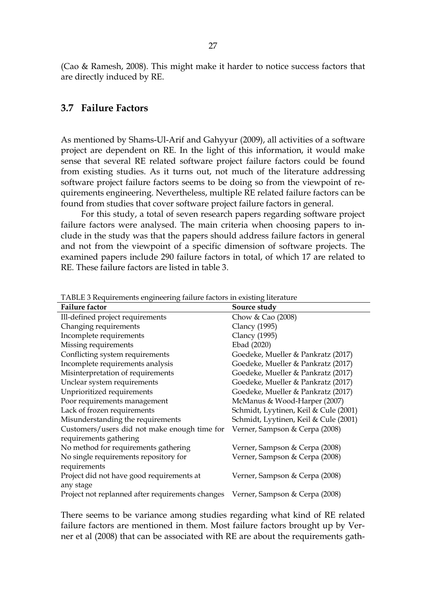<span id="page-26-1"></span>(Cao & Ramesh, 2008). This might make it harder to notice success factors that are directly induced by RE.

#### **3.7 Failure Factors**

As mentioned by Shams-Ul-Arif and Gahyyur (2009), all activities of a software project are dependent on RE. In the light of this information, it would make sense that several RE related software project failure factors could be found from existing studies. As it turns out, not much of the literature addressing software project failure factors seems to be doing so from the viewpoint of requirements engineering. Nevertheless, multiple RE related failure factors can be found from studies that cover software project failure factors in general.

For this study, a total of seven research papers regarding software project failure factors were analysed. The main criteria when choosing papers to include in the study was that the papers should address failure factors in general and not from the viewpoint of a specific dimension of software projects. The examined papers include 290 failure factors in total, of which 17 are related to RE. These failure factors are listed in table 3.

| <b>Failure factor</b>                                                           | Source study                          |
|---------------------------------------------------------------------------------|---------------------------------------|
| Ill-defined project requirements                                                | Chow & Cao (2008)                     |
| Changing requirements                                                           | <b>Clancy</b> (1995)                  |
| Incomplete requirements                                                         | <b>Clancy</b> (1995)                  |
| Missing requirements                                                            | Ebad (2020)                           |
| Conflicting system requirements                                                 | Goedeke, Mueller & Pankratz (2017)    |
| Incomplete requirements analysis                                                | Goedeke, Mueller & Pankratz (2017)    |
| Misinterpretation of requirements                                               | Goedeke, Mueller & Pankratz (2017)    |
| Unclear system requirements                                                     | Goedeke, Mueller & Pankratz (2017)    |
| Unprioritized requirements                                                      | Goedeke, Mueller & Pankratz (2017)    |
| Poor requirements management                                                    | McManus & Wood-Harper (2007)          |
| Lack of frozen requirements                                                     | Schmidt, Lyytinen, Keil & Cule (2001) |
| Misunderstanding the requirements                                               | Schmidt, Lyytinen, Keil & Cule (2001) |
| Customers/users did not make enough time for                                    | Verner, Sampson & Cerpa (2008)        |
| requirements gathering                                                          |                                       |
| No method for requirements gathering                                            | Verner, Sampson & Cerpa (2008)        |
| No single requirements repository for                                           | Verner, Sampson & Cerpa (2008)        |
| requirements                                                                    |                                       |
| Project did not have good requirements at                                       | Verner, Sampson & Cerpa (2008)        |
| any stage                                                                       |                                       |
| Project not replanned after requirements changes Verner, Sampson & Cerpa (2008) |                                       |

<span id="page-26-0"></span>TABLE 3 Requirements engineering failure factors in existing literature

There seems to be variance among studies regarding what kind of RE related failure factors are mentioned in them. Most failure factors brought up by Verner et al (2008) that can be associated with RE are about the requirements gath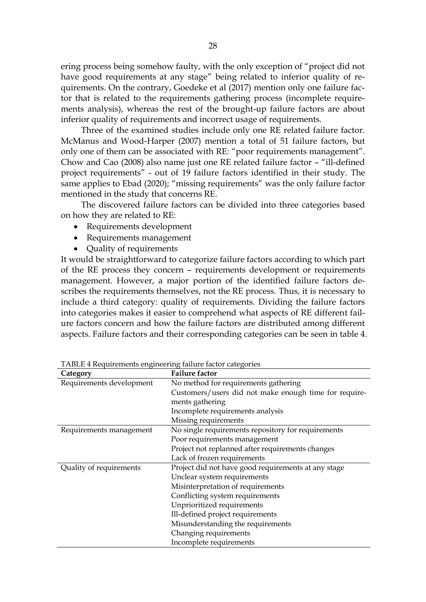ering process being somehow faulty, with the only exception of "project did not have good requirements at any stage" being related to inferior quality of requirements. On the contrary, Goedeke et al (2017) mention only one failure factor that is related to the requirements gathering process (incomplete requirements analysis), whereas the rest of the brought-up failure factors are about inferior quality of requirements and incorrect usage of requirements.

Three of the examined studies include only one RE related failure factor. McManus and Wood-Harper (2007) mention a total of 51 failure factors, but only one of them can be associated with RE: "poor requirements management". Chow and Cao (2008) also name just one RE related failure factor – "ill-defined project requirements" - out of 19 failure factors identified in their study. The same applies to Ebad (2020); "missing requirements" was the only failure factor mentioned in the study that concerns RE.

The discovered failure factors can be divided into three categories based on how they are related to RE:

- Requirements development
- Requirements management
- Quality of requirements

It would be straightforward to categorize failure factors according to which part of the RE process they concern – requirements development or requirements management. However, a major portion of the identified failure factors describes the requirements themselves, not the RE process. Thus, it is necessary to include a third category: quality of requirements. Dividing the failure factors into categories makes it easier to comprehend what aspects of RE different failure factors concern and how the failure factors are distributed among different aspects. Failure factors and their corresponding categories can be seen in table 4.

| Category                 | <b>Failure factor</b>                                 |  |
|--------------------------|-------------------------------------------------------|--|
| Requirements development | No method for requirements gathering                  |  |
|                          | Customers/users did not make enough time for require- |  |
|                          | ments gathering                                       |  |
|                          | Incomplete requirements analysis                      |  |
|                          | Missing requirements                                  |  |
| Requirements management  | No single requirements repository for requirements    |  |
|                          | Poor requirements management                          |  |
|                          | Project not replanned after requirements changes      |  |
|                          | Lack of frozen requirements                           |  |
| Quality of requirements  | Project did not have good requirements at any stage   |  |
|                          | Unclear system requirements                           |  |
|                          | Misinterpretation of requirements                     |  |
|                          | Conflicting system requirements                       |  |
|                          | Unprioritized requirements                            |  |
|                          | Ill-defined project requirements                      |  |
|                          | Misunderstanding the requirements                     |  |
|                          | Changing requirements                                 |  |
|                          | Incomplete requirements                               |  |

<span id="page-27-0"></span>TABLE 4 Requirements engineering failure factor categories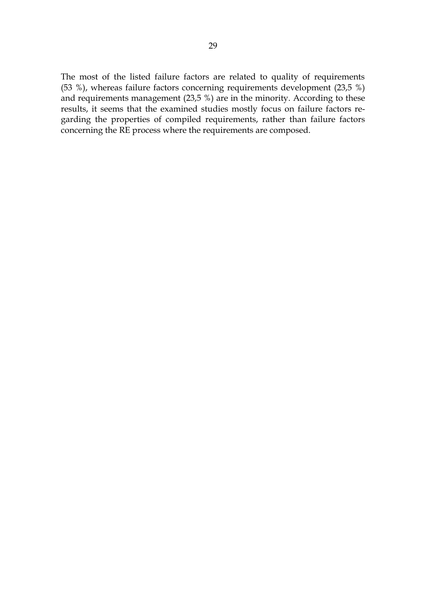The most of the listed failure factors are related to quality of requirements (53 %), whereas failure factors concerning requirements development (23,5 %) and requirements management (23,5 %) are in the minority. According to these results, it seems that the examined studies mostly focus on failure factors regarding the properties of compiled requirements, rather than failure factors concerning the RE process where the requirements are composed.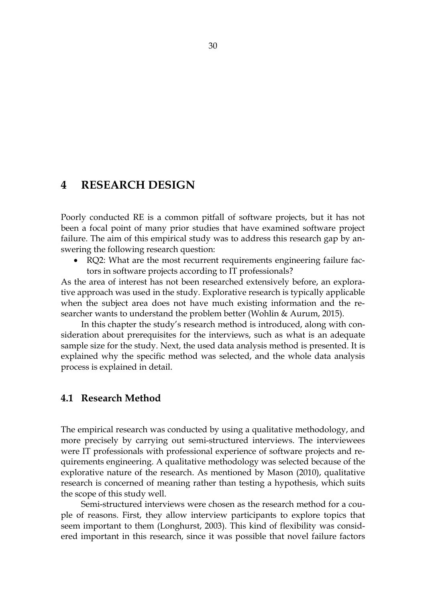# <span id="page-29-0"></span>**4 RESEARCH DESIGN**

Poorly conducted RE is a common pitfall of software projects, but it has not been a focal point of many prior studies that have examined software project failure. The aim of this empirical study was to address this research gap by answering the following research question:

• RQ2: What are the most recurrent requirements engineering failure factors in software projects according to IT professionals?

As the area of interest has not been researched extensively before, an explorative approach was used in the study. Explorative research is typically applicable when the subject area does not have much existing information and the researcher wants to understand the problem better (Wohlin & Aurum, 2015).

In this chapter the study's research method is introduced, along with consideration about prerequisites for the interviews, such as what is an adequate sample size for the study. Next, the used data analysis method is presented. It is explained why the specific method was selected, and the whole data analysis process is explained in detail.

### <span id="page-29-1"></span>**4.1 Research Method**

The empirical research was conducted by using a qualitative methodology, and more precisely by carrying out semi-structured interviews. The interviewees were IT professionals with professional experience of software projects and requirements engineering. A qualitative methodology was selected because of the explorative nature of the research. As mentioned by Mason (2010), qualitative research is concerned of meaning rather than testing a hypothesis, which suits the scope of this study well.

Semi-structured interviews were chosen as the research method for a couple of reasons. First, they allow interview participants to explore topics that seem important to them (Longhurst, 2003). This kind of flexibility was considered important in this research, since it was possible that novel failure factors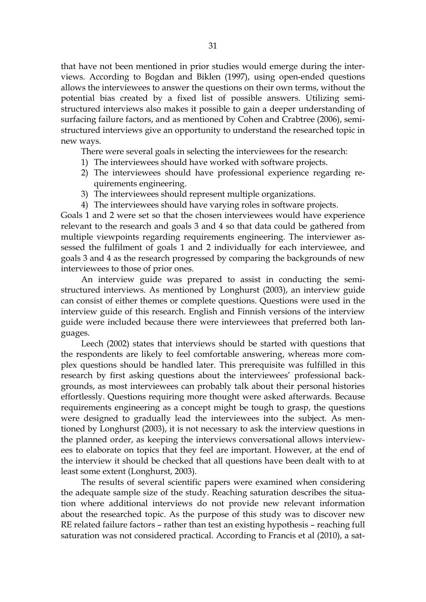that have not been mentioned in prior studies would emerge during the interviews. According to Bogdan and Biklen (1997), using open-ended questions allows the interviewees to answer the questions on their own terms, without the potential bias created by a fixed list of possible answers. Utilizing semistructured interviews also makes it possible to gain a deeper understanding of surfacing failure factors, and as mentioned by Cohen and Crabtree (2006), semistructured interviews give an opportunity to understand the researched topic in new ways.

There were several goals in selecting the interviewees for the research:

- 1) The interviewees should have worked with software projects.
- 2) The interviewees should have professional experience regarding requirements engineering.
- 3) The interviewees should represent multiple organizations.
- 4) The interviewees should have varying roles in software projects.

Goals 1 and 2 were set so that the chosen interviewees would have experience relevant to the research and goals 3 and 4 so that data could be gathered from multiple viewpoints regarding requirements engineering. The interviewer assessed the fulfilment of goals 1 and 2 individually for each interviewee, and goals 3 and 4 as the research progressed by comparing the backgrounds of new interviewees to those of prior ones.

An interview guide was prepared to assist in conducting the semistructured interviews. As mentioned by Longhurst (2003), an interview guide can consist of either themes or complete questions. Questions were used in the interview guide of this research. English and Finnish versions of the interview guide were included because there were interviewees that preferred both languages.

Leech (2002) states that interviews should be started with questions that the respondents are likely to feel comfortable answering, whereas more complex questions should be handled later. This prerequisite was fulfilled in this research by first asking questions about the interviewees' professional backgrounds, as most interviewees can probably talk about their personal histories effortlessly. Questions requiring more thought were asked afterwards. Because requirements engineering as a concept might be tough to grasp, the questions were designed to gradually lead the interviewees into the subject. As mentioned by Longhurst (2003), it is not necessary to ask the interview questions in the planned order, as keeping the interviews conversational allows interviewees to elaborate on topics that they feel are important. However, at the end of the interview it should be checked that all questions have been dealt with to at least some extent (Longhurst, 2003).

The results of several scientific papers were examined when considering the adequate sample size of the study. Reaching saturation describes the situation where additional interviews do not provide new relevant information about the researched topic. As the purpose of this study was to discover new RE related failure factors – rather than test an existing hypothesis – reaching full saturation was not considered practical. According to Francis et al (2010), a sat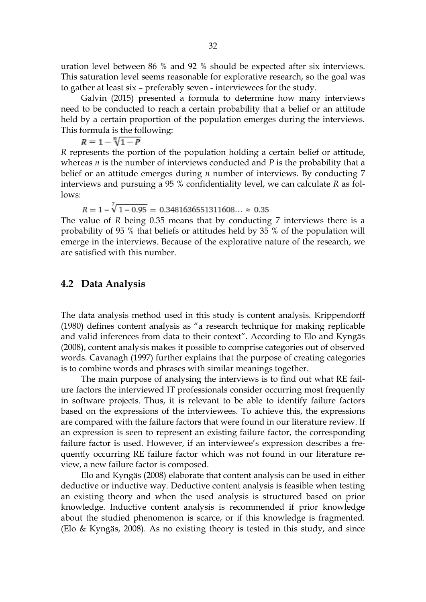uration level between 86 % and 92 % should be expected after six interviews. This saturation level seems reasonable for explorative research, so the goal was to gather at least six – preferably seven - interviewees for the study.

Galvin (2015) presented a formula to determine how many interviews need to be conducted to reach a certain probability that a belief or an attitude held by a certain proportion of the population emerges during the interviews. This formula is the following:

$$
R=1-\sqrt[n]{1-P}
$$

*R* represents the portion of the population holding a certain belief or attitude, whereas *n* is the number of interviews conducted and *P* is the probability that a belief or an attitude emerges during *n* number of interviews. By conducting 7 interviews and pursuing a 95 % confidentiality level, we can calculate *R* as follows:

 $R = 1 - \sqrt[7]{1 - 0.95} = 0.3481636551311608... \approx 0.35$ 

The value of *R* being 0.35 means that by conducting 7 interviews there is a probability of 95 % that beliefs or attitudes held by 35 % of the population will emerge in the interviews. Because of the explorative nature of the research, we are satisfied with this number.

## <span id="page-31-0"></span>**4.2 Data Analysis**

The data analysis method used in this study is content analysis. Krippendorff (1980) defines content analysis as "a research technique for making replicable and valid inferences from data to their context". According to Elo and Kyngäs (2008), content analysis makes it possible to comprise categories out of observed words. Cavanagh (1997) further explains that the purpose of creating categories is to combine words and phrases with similar meanings together.

The main purpose of analysing the interviews is to find out what RE failure factors the interviewed IT professionals consider occurring most frequently in software projects. Thus, it is relevant to be able to identify failure factors based on the expressions of the interviewees. To achieve this, the expressions are compared with the failure factors that were found in our literature review. If an expression is seen to represent an existing failure factor, the corresponding failure factor is used. However, if an interviewee's expression describes a frequently occurring RE failure factor which was not found in our literature review, a new failure factor is composed.

Elo and Kyngäs (2008) elaborate that content analysis can be used in either deductive or inductive way. Deductive content analysis is feasible when testing an existing theory and when the used analysis is structured based on prior knowledge. Inductive content analysis is recommended if prior knowledge about the studied phenomenon is scarce, or if this knowledge is fragmented. (Elo & Kyngäs, 2008). As no existing theory is tested in this study, and since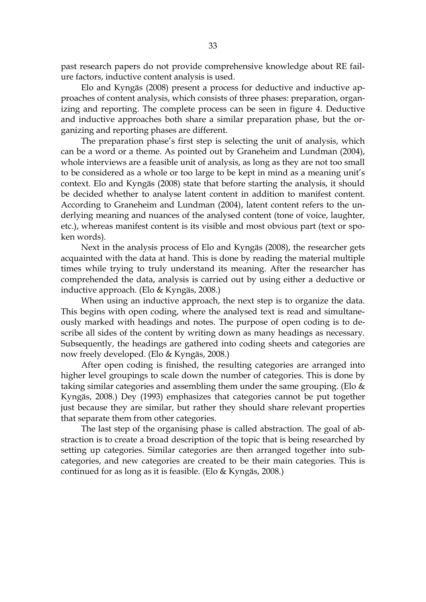past research papers do not provide comprehensive knowledge about RE failure factors, inductive content analysis is used.

Elo and Kyngäs (2008) present a process for deductive and inductive approaches of content analysis, which consists of three phases: preparation, organizing and reporting. The complete process can be seen in figure 4. Deductive and inductive approaches both share a similar preparation phase, but the organizing and reporting phases are different.

The preparation phase's first step is selecting the unit of analysis, which can be a word or a theme. As pointed out by Graneheim and Lundman (2004), whole interviews are a feasible unit of analysis, as long as they are not too small to be considered as a whole or too large to be kept in mind as a meaning unit's context. Elo and Kyngäs (2008) state that before starting the analysis, it should be decided whether to analyse latent content in addition to manifest content. According to Graneheim and Lundman (2004), latent content refers to the underlying meaning and nuances of the analysed content (tone of voice, laughter, etc.), whereas manifest content is its visible and most obvious part (text or spoken words).

Next in the analysis process of Elo and Kyngäs (2008), the researcher gets acquainted with the data at hand. This is done by reading the material multiple times while trying to truly understand its meaning. After the researcher has comprehended the data, analysis is carried out by using either a deductive or inductive approach. (Elo & Kyngäs, 2008.)

When using an inductive approach, the next step is to organize the data. This begins with open coding, where the analysed text is read and simultaneously marked with headings and notes. The purpose of open coding is to describe all sides of the content by writing down as many headings as necessary. Subsequently, the headings are gathered into coding sheets and categories are now freely developed. (Elo & Kyngäs, 2008.)

After open coding is finished, the resulting categories are arranged into higher level groupings to scale down the number of categories. This is done by taking similar categories and assembling them under the same grouping. (Elo  $\&$ Kyngäs, 2008.) Dey (1993) emphasizes that categories cannot be put together just because they are similar, but rather they should share relevant properties that separate them from other categories.

The last step of the organising phase is called abstraction. The goal of abstraction is to create a broad description of the topic that is being researched by setting up categories. Similar categories are then arranged together into subcategories, and new categories are created to be their main categories. This is continued for as long as it is feasible. (Elo & Kyngäs, 2008.)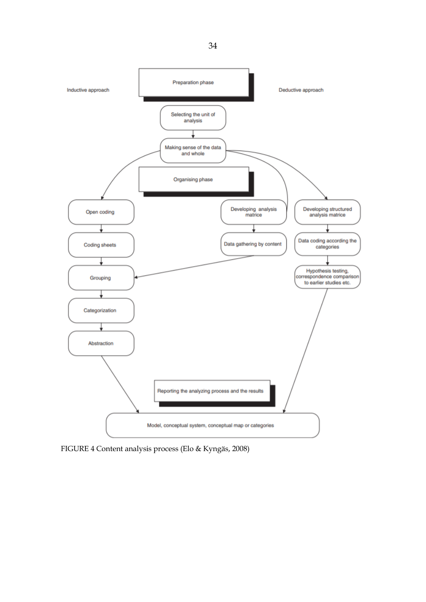

<span id="page-33-0"></span>FIGURE 4 Content analysis process (Elo & Kyngäs, 2008)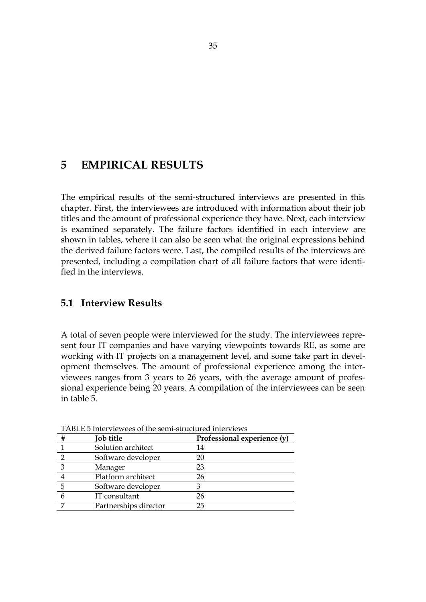# <span id="page-34-1"></span>**5 EMPIRICAL RESULTS**

The empirical results of the semi-structured interviews are presented in this chapter. First, the interviewees are introduced with information about their job titles and the amount of professional experience they have. Next, each interview is examined separately. The failure factors identified in each interview are shown in tables, where it can also be seen what the original expressions behind the derived failure factors were. Last, the compiled results of the interviews are presented, including a compilation chart of all failure factors that were identified in the interviews.

## <span id="page-34-2"></span>**5.1 Interview Results**

A total of seven people were interviewed for the study. The interviewees represent four IT companies and have varying viewpoints towards RE, as some are working with IT projects on a management level, and some take part in development themselves. The amount of professional experience among the interviewees ranges from 3 years to 26 years, with the average amount of professional experience being 20 years. A compilation of the interviewees can be seen in table 5.

| <b>Job title</b>      | Professional experience (y) |
|-----------------------|-----------------------------|
| Solution architect    | 14                          |
| Software developer    | 20                          |
| Manager               | 23                          |
| Platform architect    | 26                          |
| Software developer    |                             |
| IT consultant         | 26                          |
| Partnerships director | 25                          |

<span id="page-34-0"></span>TABLE 5 Interviewees of the semi-structured interviews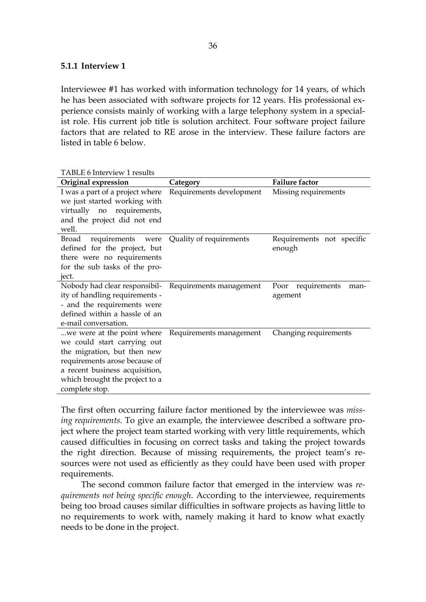#### <span id="page-35-1"></span>**5.1.1 Interview 1**

<span id="page-35-0"></span>TABLE 6 Interview 1 results

Interviewee #1 has worked with information technology for 14 years, of which he has been associated with software projects for 12 years. His professional experience consists mainly of working with a large telephony system in a specialist role. His current job title is solution architect. Four software project failure factors that are related to RE arose in the interview. These failure factors are listed in table 6 below.

| Original expression                                                                                                                                                                                              | Category                 | <b>Failure factor</b>                |
|------------------------------------------------------------------------------------------------------------------------------------------------------------------------------------------------------------------|--------------------------|--------------------------------------|
| I was a part of a project where<br>we just started working with<br>virtually no requirements,<br>and the project did not end<br>well.                                                                            | Requirements development | Missing requirements                 |
| Broad<br>requirements were<br>defined for the project, but<br>there were no requirements<br>for the sub tasks of the pro-<br>ject.                                                                               | Quality of requirements  | Requirements not specific<br>enough  |
| Nobody had clear responsibil- Requirements management<br>ity of handling requirements -<br>- and the requirements were<br>defined within a hassle of an<br>e-mail conversation.                                  |                          | Poor requirements<br>man-<br>agement |
| we were at the point where.<br>we could start carrying out<br>the migration, but then new<br>requirements arose because of<br>a recent business acquisition,<br>which brought the project to a<br>complete stop. | Requirements management  | Changing requirements                |

The first often occurring failure factor mentioned by the interviewee was *missing requirements*. To give an example, the interviewee described a software project where the project team started working with very little requirements, which caused difficulties in focusing on correct tasks and taking the project towards the right direction. Because of missing requirements, the project team's resources were not used as efficiently as they could have been used with proper requirements.

The second common failure factor that emerged in the interview was *requirements not being specific enough*. According to the interviewee, requirements being too broad causes similar difficulties in software projects as having little to no requirements to work with, namely making it hard to know what exactly needs to be done in the project.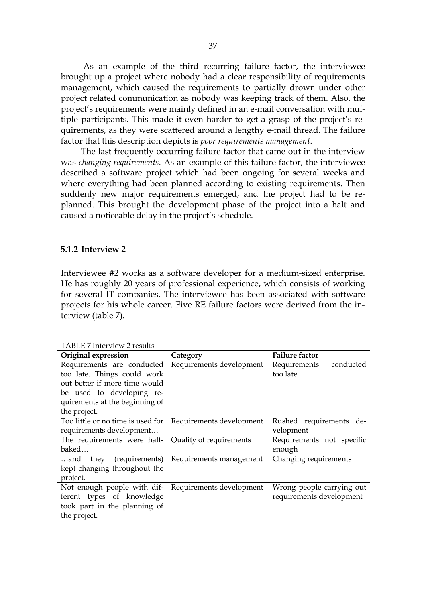As an example of the third recurring failure factor, the interviewee brought up a project where nobody had a clear responsibility of requirements management, which caused the requirements to partially drown under other project related communication as nobody was keeping track of them. Also, the project's requirements were mainly defined in an e-mail conversation with multiple participants. This made it even harder to get a grasp of the project's requirements, as they were scattered around a lengthy e-mail thread. The failure factor that this description depicts is *poor requirements management*.

The last frequently occurring failure factor that came out in the interview was *changing requirements*. As an example of this failure factor, the interviewee described a software project which had been ongoing for several weeks and where everything had been planned according to existing requirements. Then suddenly new major requirements emerged, and the project had to be replanned. This brought the development phase of the project into a halt and caused a noticeable delay in the project's schedule.

#### <span id="page-36-1"></span>**5.1.2 Interview 2**

Interviewee #2 works as a software developer for a medium-sized enterprise. He has roughly 20 years of professional experience, which consists of working for several IT companies. The interviewee has been associated with software projects for his whole career. Five RE failure factors were derived from the interview (table 7).

| Category                                               | <b>Failure factor</b>     |
|--------------------------------------------------------|---------------------------|
| Requirements are conducted<br>Requirements development | Requirements<br>conducted |
|                                                        | too late                  |
|                                                        |                           |
|                                                        |                           |
|                                                        |                           |
|                                                        |                           |
| Requirements development                               | Rushed requirements de-   |
|                                                        | velopment                 |
| Quality of requirements                                | Requirements not specific |
|                                                        | enough                    |
| (requirements) Requirements management                 | Changing requirements     |
|                                                        |                           |
|                                                        |                           |
| Requirements development                               | Wrong people carrying out |
|                                                        | requirements development  |
|                                                        |                           |
|                                                        |                           |
|                                                        |                           |

<span id="page-36-0"></span>TABLE 7 Interview 2 results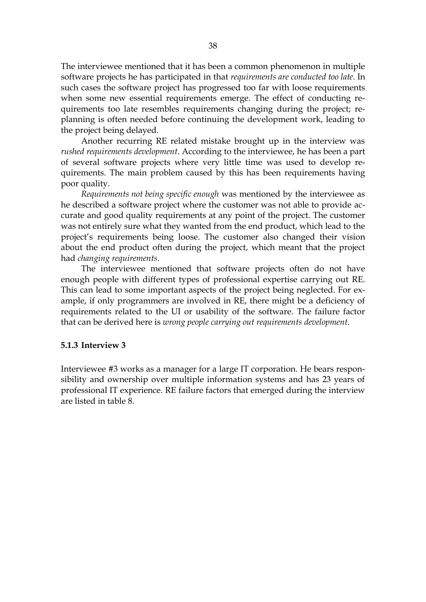The interviewee mentioned that it has been a common phenomenon in multiple software projects he has participated in that *requirements are conducted too late*. In such cases the software project has progressed too far with loose requirements when some new essential requirements emerge. The effect of conducting requirements too late resembles requirements changing during the project; replanning is often needed before continuing the development work, leading to the project being delayed.

Another recurring RE related mistake brought up in the interview was *rushed requirements development*. According to the interviewee, he has been a part of several software projects where very little time was used to develop requirements. The main problem caused by this has been requirements having poor quality.

*Requirements not being specific enough* was mentioned by the interviewee as he described a software project where the customer was not able to provide accurate and good quality requirements at any point of the project. The customer was not entirely sure what they wanted from the end product, which lead to the project's requirements being loose. The customer also changed their vision about the end product often during the project, which meant that the project had *changing requirements*.

The interviewee mentioned that software projects often do not have enough people with different types of professional expertise carrying out RE. This can lead to some important aspects of the project being neglected. For example, if only programmers are involved in RE, there might be a deficiency of requirements related to the UI or usability of the software. The failure factor that can be derived here is *wrong people carrying out requirements development*.

#### <span id="page-37-0"></span>**5.1.3 Interview 3**

Interviewee #3 works as a manager for a large IT corporation. He bears responsibility and ownership over multiple information systems and has 23 years of professional IT experience. RE failure factors that emerged during the interview are listed in table 8.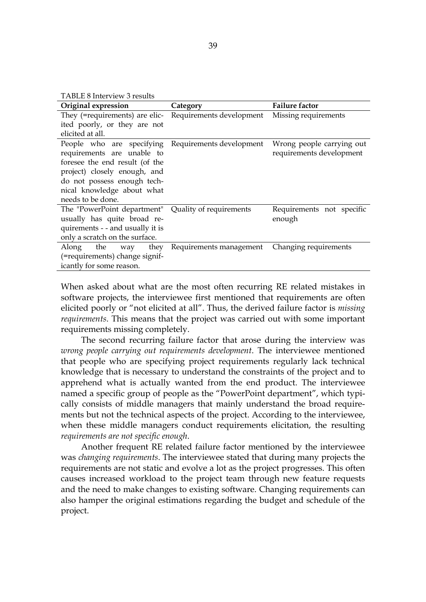<span id="page-38-0"></span>TABLE 8 Interview 3 results

| Original expression                                     | Category                 | <b>Failure factor</b>     |
|---------------------------------------------------------|--------------------------|---------------------------|
| They (=requirements) are elic- Requirements development |                          | Missing requirements      |
| ited poorly, or they are not                            |                          |                           |
| elicited at all.                                        |                          |                           |
| People who are specifying                               | Requirements development | Wrong people carrying out |
| requirements are unable to                              |                          | requirements development  |
| foresee the end result (of the                          |                          |                           |
| project) closely enough, and                            |                          |                           |
| do not possess enough tech-                             |                          |                           |
| nical knowledge about what                              |                          |                           |
| needs to be done.                                       |                          |                           |
| The "PowerPoint department"                             | Quality of requirements  | Requirements not specific |
| usually has quite broad re-                             |                          | enough                    |
| quirements - - and usually it is                        |                          |                           |
| only a scratch on the surface.                          |                          |                           |
| the<br>they<br>Along<br>way                             | Requirements management  | Changing requirements     |
| (=requirements) change signif-                          |                          |                           |
| icantly for some reason.                                |                          |                           |

When asked about what are the most often recurring RE related mistakes in software projects, the interviewee first mentioned that requirements are often elicited poorly or "not elicited at all". Thus, the derived failure factor is *missing requirements*. This means that the project was carried out with some important requirements missing completely.

The second recurring failure factor that arose during the interview was *wrong people carrying out requirements development*. The interviewee mentioned that people who are specifying project requirements regularly lack technical knowledge that is necessary to understand the constraints of the project and to apprehend what is actually wanted from the end product. The interviewee named a specific group of people as the "PowerPoint department", which typically consists of middle managers that mainly understand the broad requirements but not the technical aspects of the project. According to the interviewee, when these middle managers conduct requirements elicitation, the resulting *requirements are not specific enough*.

Another frequent RE related failure factor mentioned by the interviewee was *changing requirements*. The interviewee stated that during many projects the requirements are not static and evolve a lot as the project progresses. This often causes increased workload to the project team through new feature requests and the need to make changes to existing software. Changing requirements can also hamper the original estimations regarding the budget and schedule of the project.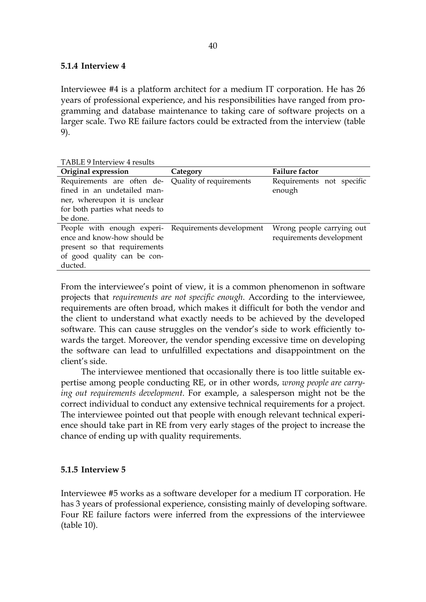#### <span id="page-39-1"></span>**5.1.4 Interview 4**

Interviewee #4 is a platform architect for a medium IT corporation. He has 26 years of professional experience, and his responsibilities have ranged from programming and database maintenance to taking care of software projects on a larger scale. Two RE failure factors could be extracted from the interview (table 9).

<span id="page-39-0"></span>

|  | TABLE 9 Interview 4 results |  |
|--|-----------------------------|--|
|--|-----------------------------|--|

| Original expression                                 | Category | <b>Failure factor</b>     |  |
|-----------------------------------------------------|----------|---------------------------|--|
| Requirements are often de- Quality of requirements  |          | Requirements not specific |  |
| fined in an undetailed man-                         |          | enough                    |  |
| ner, whereupon it is unclear                        |          |                           |  |
| for both parties what needs to                      |          |                           |  |
| be done.                                            |          |                           |  |
| People with enough experi- Requirements development |          | Wrong people carrying out |  |
| ence and know-how should be                         |          | requirements development  |  |
| present so that requirements                        |          |                           |  |
| of good quality can be con-                         |          |                           |  |
| ducted.                                             |          |                           |  |

From the interviewee's point of view, it is a common phenomenon in software projects that *requirements are not specific enough*. According to the interviewee, requirements are often broad, which makes it difficult for both the vendor and the client to understand what exactly needs to be achieved by the developed software. This can cause struggles on the vendor's side to work efficiently towards the target. Moreover, the vendor spending excessive time on developing the software can lead to unfulfilled expectations and disappointment on the client's side.

The interviewee mentioned that occasionally there is too little suitable expertise among people conducting RE, or in other words, *wrong people are carrying out requirements development*. For example, a salesperson might not be the correct individual to conduct any extensive technical requirements for a project. The interviewee pointed out that people with enough relevant technical experience should take part in RE from very early stages of the project to increase the chance of ending up with quality requirements.

#### <span id="page-39-2"></span>**5.1.5 Interview 5**

Interviewee #5 works as a software developer for a medium IT corporation. He has 3 years of professional experience, consisting mainly of developing software. Four RE failure factors were inferred from the expressions of the interviewee (table 10).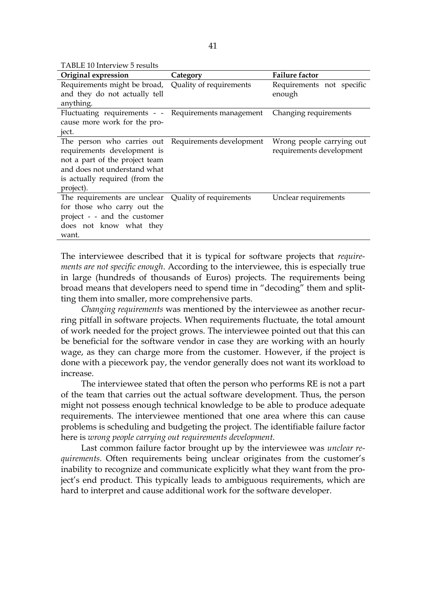<span id="page-40-0"></span>TABLE 10 Interview 5 results

| Original expression                                  | Category                | <b>Failure factor</b>     |  |
|------------------------------------------------------|-------------------------|---------------------------|--|
| Requirements might be broad, Quality of requirements |                         | Requirements not specific |  |
| and they do not actually tell                        |                         | enough                    |  |
| anything.                                            |                         |                           |  |
| Fluctuating requirements - - Requirements management |                         | Changing requirements     |  |
| cause more work for the pro-                         |                         |                           |  |
| ject.                                                |                         |                           |  |
| The person who carries out Requirements development  |                         | Wrong people carrying out |  |
| requirements development is                          |                         | requirements development  |  |
| not a part of the project team                       |                         |                           |  |
| and does not understand what                         |                         |                           |  |
| is actually required (from the                       |                         |                           |  |
| project).                                            |                         |                           |  |
| The requirements are unclear                         | Quality of requirements | Unclear requirements      |  |
| for those who carry out the                          |                         |                           |  |
| project - - and the customer                         |                         |                           |  |
| does not know what they                              |                         |                           |  |
| want.                                                |                         |                           |  |

The interviewee described that it is typical for software projects that *requirements are not specific enough*. According to the interviewee, this is especially true in large (hundreds of thousands of Euros) projects. The requirements being broad means that developers need to spend time in "decoding" them and splitting them into smaller, more comprehensive parts.

*Changing requirements* was mentioned by the interviewee as another recurring pitfall in software projects. When requirements fluctuate, the total amount of work needed for the project grows. The interviewee pointed out that this can be beneficial for the software vendor in case they are working with an hourly wage, as they can charge more from the customer. However, if the project is done with a piecework pay, the vendor generally does not want its workload to increase.

The interviewee stated that often the person who performs RE is not a part of the team that carries out the actual software development. Thus, the person might not possess enough technical knowledge to be able to produce adequate requirements. The interviewee mentioned that one area where this can cause problems is scheduling and budgeting the project. The identifiable failure factor here is *wrong people carrying out requirements development*.

Last common failure factor brought up by the interviewee was *unclear requirements*. Often requirements being unclear originates from the customer's inability to recognize and communicate explicitly what they want from the project's end product. This typically leads to ambiguous requirements, which are hard to interpret and cause additional work for the software developer.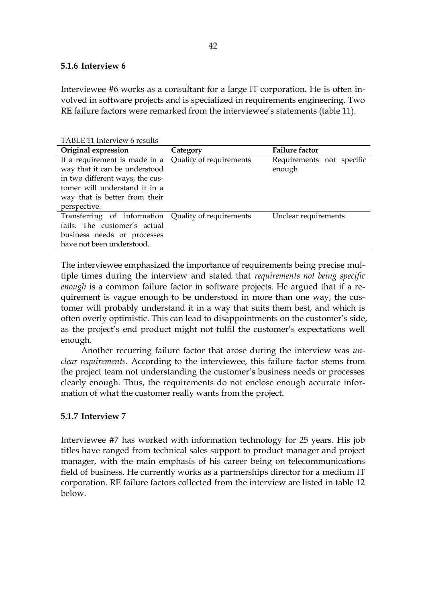#### <span id="page-41-1"></span>**5.1.6 Interview 6**

Interviewee #6 works as a consultant for a large IT corporation. He is often involved in software projects and is specialized in requirements engineering. Two RE failure factors were remarked from the interviewee's statements (table 11).

<span id="page-41-0"></span>TABLE 11 Interview 6 results

| Original expression                                                                                                                                                                                         | Category | <b>Failure factor</b>               |
|-------------------------------------------------------------------------------------------------------------------------------------------------------------------------------------------------------------|----------|-------------------------------------|
| If a requirement is made in a Quality of requirements<br>way that it can be understood<br>in two different ways, the cus-<br>tomer will understand it in a<br>way that is better from their<br>perspective. |          | Requirements not specific<br>enough |
| Transferring of information Quality of requirements<br>fails. The customer's actual<br>business needs or processes<br>have not been understood.                                                             |          | Unclear requirements                |

The interviewee emphasized the importance of requirements being precise multiple times during the interview and stated that *requirements not being specific enough* is a common failure factor in software projects. He argued that if a requirement is vague enough to be understood in more than one way, the customer will probably understand it in a way that suits them best, and which is often overly optimistic. This can lead to disappointments on the customer's side, as the project's end product might not fulfil the customer's expectations well enough.

Another recurring failure factor that arose during the interview was *unclear requirements*. According to the interviewee, this failure factor stems from the project team not understanding the customer's business needs or processes clearly enough. Thus, the requirements do not enclose enough accurate information of what the customer really wants from the project.

### <span id="page-41-2"></span>**5.1.7 Interview 7**

Interviewee #7 has worked with information technology for 25 years. His job titles have ranged from technical sales support to product manager and project manager, with the main emphasis of his career being on telecommunications field of business. He currently works as a partnerships director for a medium IT corporation. RE failure factors collected from the interview are listed in table 12 below.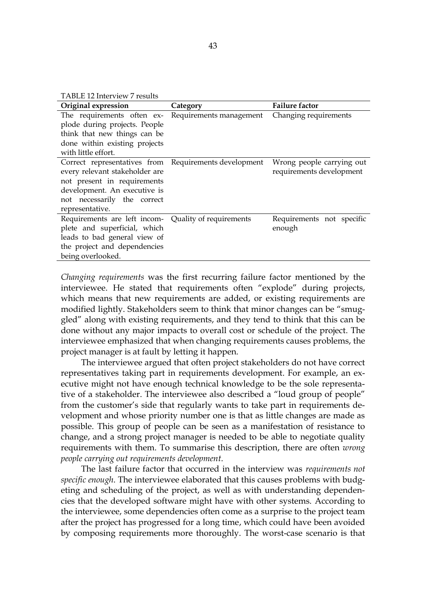<span id="page-42-0"></span>TABLE 12 Interview 7 results

| Original expression                                                                                                                                                                                      | Category                | <b>Failure factor</b>                                 |  |
|----------------------------------------------------------------------------------------------------------------------------------------------------------------------------------------------------------|-------------------------|-------------------------------------------------------|--|
| The requirements often ex-<br>plode during projects. People<br>think that new things can be<br>done within existing projects<br>with little effort.                                                      | Requirements management | Changing requirements                                 |  |
| Correct representatives from Requirements development<br>every relevant stakeholder are<br>not present in requirements<br>development. An executive is<br>not necessarily the correct<br>representative. |                         | Wrong people carrying out<br>requirements development |  |
| Requirements are left incom-<br>plete and superficial, which<br>leads to bad general view of<br>the project and dependencies<br>being overlooked.                                                        | Quality of requirements | Requirements not specific<br>enough                   |  |

*Changing requirements* was the first recurring failure factor mentioned by the interviewee. He stated that requirements often "explode" during projects, which means that new requirements are added, or existing requirements are modified lightly. Stakeholders seem to think that minor changes can be "smuggled" along with existing requirements, and they tend to think that this can be done without any major impacts to overall cost or schedule of the project. The interviewee emphasized that when changing requirements causes problems, the project manager is at fault by letting it happen.

The interviewee argued that often project stakeholders do not have correct representatives taking part in requirements development. For example, an executive might not have enough technical knowledge to be the sole representative of a stakeholder. The interviewee also described a "loud group of people" from the customer's side that regularly wants to take part in requirements development and whose priority number one is that as little changes are made as possible. This group of people can be seen as a manifestation of resistance to change, and a strong project manager is needed to be able to negotiate quality requirements with them. To summarise this description, there are often *wrong people carrying out requirements development*.

The last failure factor that occurred in the interview was *requirements not specific enough*. The interviewee elaborated that this causes problems with budgeting and scheduling of the project, as well as with understanding dependencies that the developed software might have with other systems. According to the interviewee, some dependencies often come as a surprise to the project team after the project has progressed for a long time, which could have been avoided by composing requirements more thoroughly. The worst-case scenario is that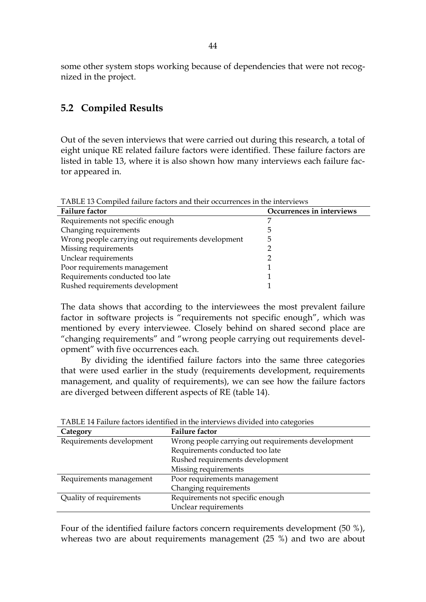<span id="page-43-2"></span>some other system stops working because of dependencies that were not recognized in the project.

## **5.2 Compiled Results**

Out of the seven interviews that were carried out during this research, a total of eight unique RE related failure factors were identified. These failure factors are listed in table 13, where it is also shown how many interviews each failure factor appeared in.

<span id="page-43-0"></span>

| TABLE 13 Compiled failure factors and their occurrences in the interviews |                           |  |
|---------------------------------------------------------------------------|---------------------------|--|
| <b>Failure factor</b>                                                     | Occurrences in interviews |  |
| Requirements not specific enough                                          |                           |  |
| Changing requirements                                                     | 5                         |  |
| Wrong people carrying out requirements development                        | 5                         |  |
| Missing requirements                                                      |                           |  |
| Unclear requirements                                                      |                           |  |
| Poor requirements management                                              |                           |  |
| Requirements conducted too late                                           |                           |  |
| Rushed requirements development                                           |                           |  |

The data shows that according to the interviewees the most prevalent failure factor in software projects is "requirements not specific enough", which was mentioned by every interviewee. Closely behind on shared second place are "changing requirements" and "wrong people carrying out requirements development" with five occurrences each.

By dividing the identified failure factors into the same three categories that were used earlier in the study (requirements development, requirements management, and quality of requirements), we can see how the failure factors are diverged between different aspects of RE (table 14).

| Category                 | <b>Failure factor</b>                              |  |
|--------------------------|----------------------------------------------------|--|
| Requirements development | Wrong people carrying out requirements development |  |
|                          | Requirements conducted too late                    |  |
|                          | Rushed requirements development                    |  |
|                          | Missing requirements                               |  |
| Requirements management  | Poor requirements management                       |  |
|                          | Changing requirements                              |  |
| Quality of requirements  | Requirements not specific enough                   |  |
|                          | Unclear requirements                               |  |

<span id="page-43-1"></span>TABLE 14 Failure factors identified in the interviews divided into categories

Four of the identified failure factors concern requirements development (50 %), whereas two are about requirements management (25 %) and two are about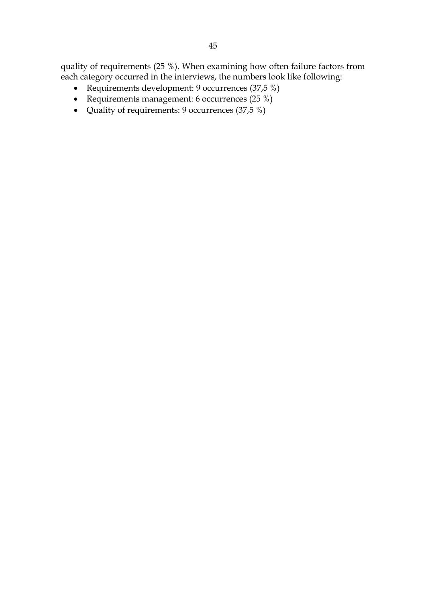quality of requirements (25 %). When examining how often failure factors from each category occurred in the interviews, the numbers look like following:

- Requirements development: 9 occurrences (37,5 %)
- Requirements management: 6 occurrences (25 %)
- Quality of requirements: 9 occurrences (37,5 %)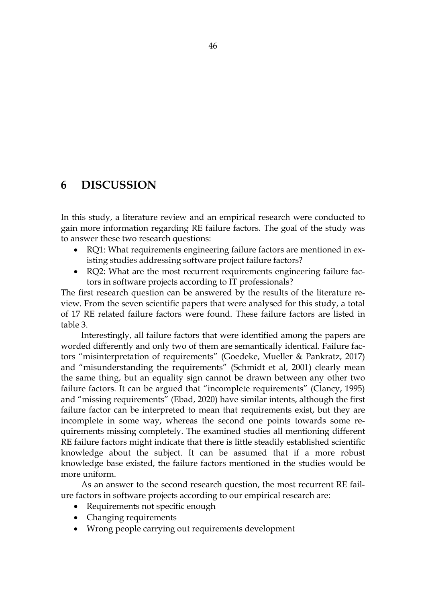# <span id="page-45-0"></span>**6 DISCUSSION**

In this study, a literature review and an empirical research were conducted to gain more information regarding RE failure factors. The goal of the study was to answer these two research questions:

- RQ1: What requirements engineering failure factors are mentioned in existing studies addressing software project failure factors?
- RQ2: What are the most recurrent requirements engineering failure factors in software projects according to IT professionals?

The first research question can be answered by the results of the literature review. From the seven scientific papers that were analysed for this study, a total of 17 RE related failure factors were found. These failure factors are listed in table 3.

Interestingly, all failure factors that were identified among the papers are worded differently and only two of them are semantically identical. Failure factors "misinterpretation of requirements" (Goedeke, Mueller & Pankratz, 2017) and "misunderstanding the requirements" (Schmidt et al, 2001) clearly mean the same thing, but an equality sign cannot be drawn between any other two failure factors. It can be argued that "incomplete requirements" (Clancy, 1995) and "missing requirements" (Ebad, 2020) have similar intents, although the first failure factor can be interpreted to mean that requirements exist, but they are incomplete in some way, whereas the second one points towards some requirements missing completely. The examined studies all mentioning different RE failure factors might indicate that there is little steadily established scientific knowledge about the subject. It can be assumed that if a more robust knowledge base existed, the failure factors mentioned in the studies would be more uniform.

As an answer to the second research question, the most recurrent RE failure factors in software projects according to our empirical research are:

- Requirements not specific enough
- Changing requirements
- Wrong people carrying out requirements development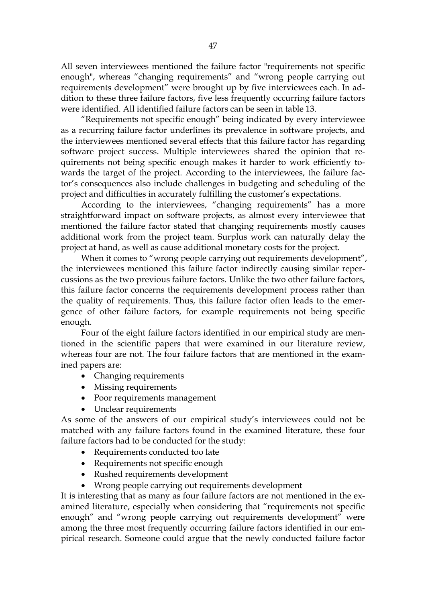All seven interviewees mentioned the failure factor "requirements not specific enough", whereas "changing requirements" and "wrong people carrying out requirements development" were brought up by five interviewees each. In addition to these three failure factors, five less frequently occurring failure factors were identified. All identified failure factors can be seen in table 13.

"Requirements not specific enough" being indicated by every interviewee as a recurring failure factor underlines its prevalence in software projects, and the interviewees mentioned several effects that this failure factor has regarding software project success. Multiple interviewees shared the opinion that requirements not being specific enough makes it harder to work efficiently towards the target of the project. According to the interviewees, the failure factor's consequences also include challenges in budgeting and scheduling of the project and difficulties in accurately fulfilling the customer's expectations.

According to the interviewees, "changing requirements" has a more straightforward impact on software projects, as almost every interviewee that mentioned the failure factor stated that changing requirements mostly causes additional work from the project team. Surplus work can naturally delay the project at hand, as well as cause additional monetary costs for the project.

When it comes to "wrong people carrying out requirements development", the interviewees mentioned this failure factor indirectly causing similar repercussions as the two previous failure factors. Unlike the two other failure factors, this failure factor concerns the requirements development process rather than the quality of requirements. Thus, this failure factor often leads to the emergence of other failure factors, for example requirements not being specific enough.

Four of the eight failure factors identified in our empirical study are mentioned in the scientific papers that were examined in our literature review, whereas four are not. The four failure factors that are mentioned in the examined papers are:

- Changing requirements
- Missing requirements
- Poor requirements management
- Unclear requirements

As some of the answers of our empirical study's interviewees could not be matched with any failure factors found in the examined literature, these four failure factors had to be conducted for the study:

- Requirements conducted too late
- Requirements not specific enough
- Rushed requirements development
- Wrong people carrying out requirements development

It is interesting that as many as four failure factors are not mentioned in the examined literature, especially when considering that "requirements not specific enough" and "wrong people carrying out requirements development" were among the three most frequently occurring failure factors identified in our empirical research. Someone could argue that the newly conducted failure factor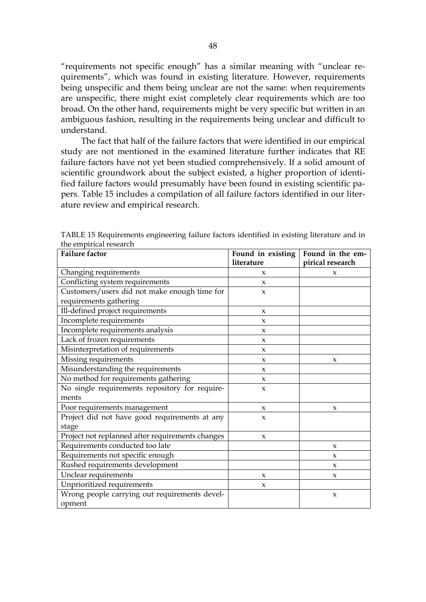"requirements not specific enough" has a similar meaning with "unclear requirements", which was found in existing literature. However, requirements being unspecific and them being unclear are not the same: when requirements are unspecific, there might exist completely clear requirements which are too broad. On the other hand, requirements might be very specific but written in an ambiguous fashion, resulting in the requirements being unclear and difficult to understand.

The fact that half of the failure factors that were identified in our empirical study are not mentioned in the examined literature further indicates that RE failure factors have not yet been studied comprehensively. If a solid amount of scientific groundwork about the subject existed, a higher proportion of identified failure factors would presumably have been found in existing scientific papers. Table 15 includes a compilation of all failure factors identified in our literature review and empirical research.

| <b>Failure factor</b>                            | Found in existing   | Found in the em-    |
|--------------------------------------------------|---------------------|---------------------|
|                                                  | literature          | pirical research    |
| Changing requirements                            | X                   | X                   |
| Conflicting system requirements                  | X                   |                     |
| Customers/users did not make enough time for     | $\boldsymbol{\chi}$ |                     |
| requirements gathering                           |                     |                     |
| Ill-defined project requirements                 | X                   |                     |
| Incomplete requirements                          | $\boldsymbol{\chi}$ |                     |
| Incomplete requirements analysis                 | $\pmb{\chi}$        |                     |
| Lack of frozen requirements                      | $\mathbf{x}$        |                     |
| Misinterpretation of requirements                | $\boldsymbol{\chi}$ |                     |
| Missing requirements                             | $\boldsymbol{\chi}$ | $\boldsymbol{\chi}$ |
| Misunderstanding the requirements                | $\boldsymbol{\chi}$ |                     |
| No method for requirements gathering             | $\boldsymbol{\chi}$ |                     |
| No single requirements repository for require-   | $\boldsymbol{\chi}$ |                     |
| ments                                            |                     |                     |
| Poor requirements management                     | X                   | $\boldsymbol{\chi}$ |
| Project did not have good requirements at any    | $\boldsymbol{\chi}$ |                     |
| stage                                            |                     |                     |
| Project not replanned after requirements changes | X                   |                     |
| Requirements conducted too late                  |                     | $\boldsymbol{\chi}$ |
| Requirements not specific enough                 |                     | $\boldsymbol{\chi}$ |
| Rushed requirements development                  |                     | X                   |
| Unclear requirements                             | $\boldsymbol{\chi}$ | X                   |
| Unprioritized requirements                       | X                   |                     |
| Wrong people carrying out requirements devel-    |                     | $\boldsymbol{\chi}$ |
| opment                                           |                     |                     |

<span id="page-47-0"></span>TABLE 15 Requirements engineering failure factors identified in existing literature and in the empirical research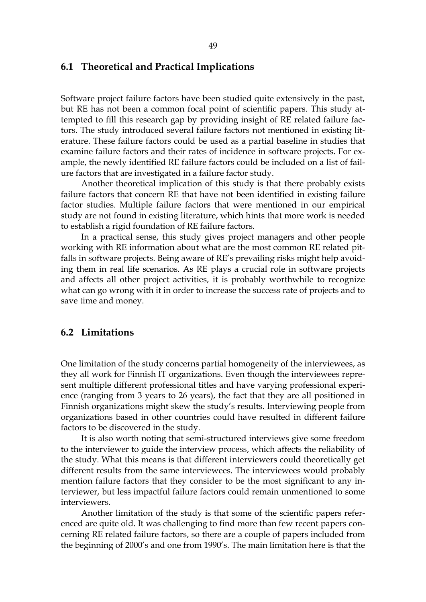#### <span id="page-48-0"></span>**6.1 Theoretical and Practical Implications**

Software project failure factors have been studied quite extensively in the past, but RE has not been a common focal point of scientific papers. This study attempted to fill this research gap by providing insight of RE related failure factors. The study introduced several failure factors not mentioned in existing literature. These failure factors could be used as a partial baseline in studies that examine failure factors and their rates of incidence in software projects. For example, the newly identified RE failure factors could be included on a list of failure factors that are investigated in a failure factor study.

Another theoretical implication of this study is that there probably exists failure factors that concern RE that have not been identified in existing failure factor studies. Multiple failure factors that were mentioned in our empirical study are not found in existing literature, which hints that more work is needed to establish a rigid foundation of RE failure factors.

In a practical sense, this study gives project managers and other people working with RE information about what are the most common RE related pitfalls in software projects. Being aware of RE's prevailing risks might help avoiding them in real life scenarios. As RE plays a crucial role in software projects and affects all other project activities, it is probably worthwhile to recognize what can go wrong with it in order to increase the success rate of projects and to save time and money.

## <span id="page-48-1"></span>**6.2 Limitations**

One limitation of the study concerns partial homogeneity of the interviewees, as they all work for Finnish IT organizations. Even though the interviewees represent multiple different professional titles and have varying professional experience (ranging from 3 years to 26 years), the fact that they are all positioned in Finnish organizations might skew the study's results. Interviewing people from organizations based in other countries could have resulted in different failure factors to be discovered in the study.

It is also worth noting that semi-structured interviews give some freedom to the interviewer to guide the interview process, which affects the reliability of the study. What this means is that different interviewers could theoretically get different results from the same interviewees. The interviewees would probably mention failure factors that they consider to be the most significant to any interviewer, but less impactful failure factors could remain unmentioned to some interviewers.

Another limitation of the study is that some of the scientific papers referenced are quite old. It was challenging to find more than few recent papers concerning RE related failure factors, so there are a couple of papers included from the beginning of 2000's and one from 1990's. The main limitation here is that the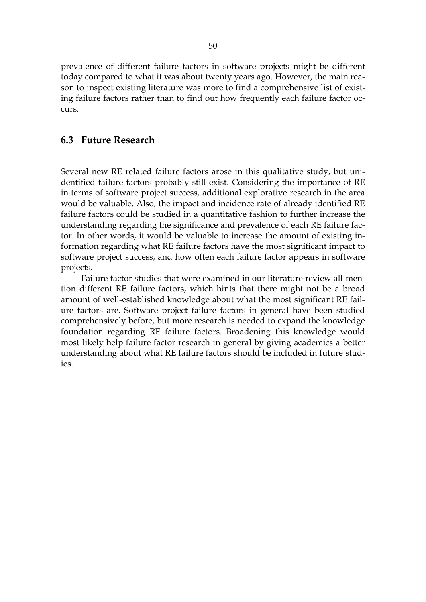prevalence of different failure factors in software projects might be different today compared to what it was about twenty years ago. However, the main reason to inspect existing literature was more to find a comprehensive list of existing failure factors rather than to find out how frequently each failure factor occurs.

### <span id="page-49-0"></span>**6.3 Future Research**

Several new RE related failure factors arose in this qualitative study, but unidentified failure factors probably still exist. Considering the importance of RE in terms of software project success, additional explorative research in the area would be valuable. Also, the impact and incidence rate of already identified RE failure factors could be studied in a quantitative fashion to further increase the understanding regarding the significance and prevalence of each RE failure factor. In other words, it would be valuable to increase the amount of existing information regarding what RE failure factors have the most significant impact to software project success, and how often each failure factor appears in software projects.

Failure factor studies that were examined in our literature review all mention different RE failure factors, which hints that there might not be a broad amount of well-established knowledge about what the most significant RE failure factors are. Software project failure factors in general have been studied comprehensively before, but more research is needed to expand the knowledge foundation regarding RE failure factors. Broadening this knowledge would most likely help failure factor research in general by giving academics a better understanding about what RE failure factors should be included in future studies.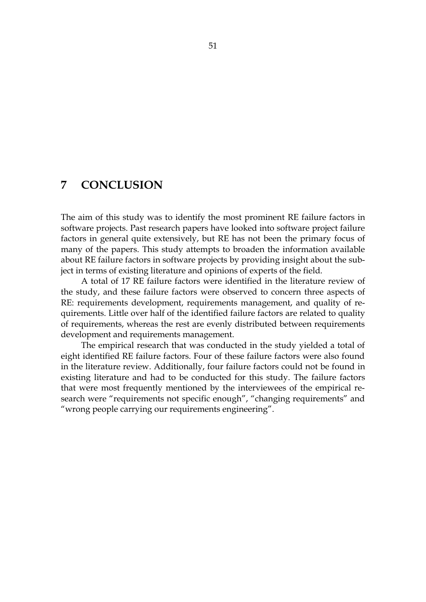## <span id="page-50-0"></span>**7 CONCLUSION**

The aim of this study was to identify the most prominent RE failure factors in software projects. Past research papers have looked into software project failure factors in general quite extensively, but RE has not been the primary focus of many of the papers. This study attempts to broaden the information available about RE failure factors in software projects by providing insight about the subject in terms of existing literature and opinions of experts of the field.

A total of 17 RE failure factors were identified in the literature review of the study, and these failure factors were observed to concern three aspects of RE: requirements development, requirements management, and quality of requirements. Little over half of the identified failure factors are related to quality of requirements, whereas the rest are evenly distributed between requirements development and requirements management.

The empirical research that was conducted in the study yielded a total of eight identified RE failure factors. Four of these failure factors were also found in the literature review. Additionally, four failure factors could not be found in existing literature and had to be conducted for this study. The failure factors that were most frequently mentioned by the interviewees of the empirical research were "requirements not specific enough", "changing requirements" and "wrong people carrying our requirements engineering".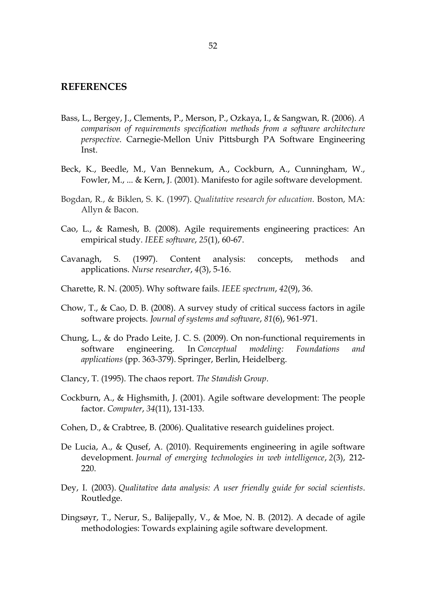#### <span id="page-51-0"></span>**REFERENCES**

- Bass, L., Bergey, J., Clements, P., Merson, P., Ozkaya, I., & Sangwan, R. (2006). *A comparison of requirements specification methods from a software architecture perspective*. Carnegie-Mellon Univ Pittsburgh PA Software Engineering Inst.
- Beck, K., Beedle, M., Van Bennekum, A., Cockburn, A., Cunningham, W., Fowler, M., ... & Kern, J. (2001). Manifesto for agile software development.
- Bogdan, R., & Biklen, S. K. (1997). *Qualitative research for education*. Boston, MA: Allyn & Bacon.
- Cao, L., & Ramesh, B. (2008). Agile requirements engineering practices: An empirical study. *IEEE software*, *25*(1), 60-67.
- Cavanagh, S. (1997). Content analysis: concepts, methods and applications. *Nurse researcher*, *4*(3), 5-16.
- Charette, R. N. (2005). Why software fails. *IEEE spectrum*, *42*(9), 36.
- Chow, T., & Cao, D. B. (2008). A survey study of critical success factors in agile software projects. *Journal of systems and software*, *81*(6), 961-971.
- Chung, L., & do Prado Leite, J. C. S. (2009). On non-functional requirements in software engineering. In *Conceptual modeling: Foundations and applications* (pp. 363-379). Springer, Berlin, Heidelberg.
- Clancy, T. (1995). The chaos report. *The Standish Group*.
- Cockburn, A., & Highsmith, J. (2001). Agile software development: The people factor. *Computer*, *34*(11), 131-133.
- Cohen, D., & Crabtree, B. (2006). Qualitative research guidelines project.
- De Lucia, A., & Qusef, A. (2010). Requirements engineering in agile software development. *Journal of emerging technologies in web intelligence*, *2*(3), 212- 220.
- Dey, I. (2003). *Qualitative data analysis: A user friendly guide for social scientists*. Routledge.
- Dingsøyr, T., Nerur, S., Balijepally, V., & Moe, N. B. (2012). A decade of agile methodologies: Towards explaining agile software development.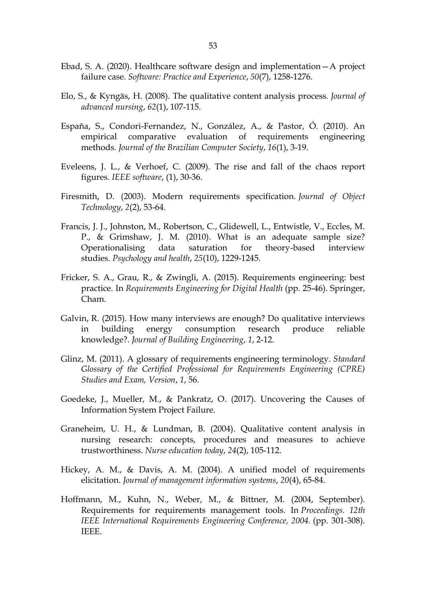- Ebad, S. A. (2020). Healthcare software design and implementation—A project failure case. *Software: Practice and Experience*, *50*(7), 1258-1276.
- Elo, S., & Kyngäs, H. (2008). The qualitative content analysis process. *Journal of advanced nursing*, *62*(1), 107-115.
- España, S., Condori-Fernandez, N., González, A., & Pastor, Ó. (2010). An empirical comparative evaluation of requirements engineering methods. *Journal of the Brazilian Computer Society*, *16*(1), 3-19.
- Eveleens, J. L., & Verhoef, C. (2009). The rise and fall of the chaos report figures. *IEEE software*, (1), 30-36.
- Firesmith, D. (2003). Modern requirements specification. *Journal of Object Technology*, *2*(2), 53-64.
- Francis, J. J., Johnston, M., Robertson, C., Glidewell, L., Entwistle, V., Eccles, M. P., & Grimshaw, J. M. (2010). What is an adequate sample size? Operationalising data saturation for theory-based interview studies. *Psychology and health*, *25*(10), 1229-1245.
- Fricker, S. A., Grau, R., & Zwingli, A. (2015). Requirements engineering: best practice. In *Requirements Engineering for Digital Health* (pp. 25-46). Springer, Cham.
- Galvin, R. (2015). How many interviews are enough? Do qualitative interviews in building energy consumption research produce reliable knowledge?. *Journal of Building Engineering*, *1*, 2-12.
- Glinz, M. (2011). A glossary of requirements engineering terminology. *Standard Glossary of the Certified Professional for Requirements Engineering (CPRE) Studies and Exam, Version*, *1*, 56.
- Goedeke, J., Mueller, M., & Pankratz, O. (2017). Uncovering the Causes of Information System Project Failure.
- Graneheim, U. H., & Lundman, B. (2004). Qualitative content analysis in nursing research: concepts, procedures and measures to achieve trustworthiness. *Nurse education today*, *24*(2), 105-112.
- Hickey, A. M., & Davis, A. M. (2004). A unified model of requirements elicitation. *Journal of management information systems*, *20*(4), 65-84.
- Hoffmann, M., Kuhn, N., Weber, M., & Bittner, M. (2004, September). Requirements for requirements management tools. In *Proceedings. 12th IEEE International Requirements Engineering Conference, 2004.* (pp. 301-308). IEEE.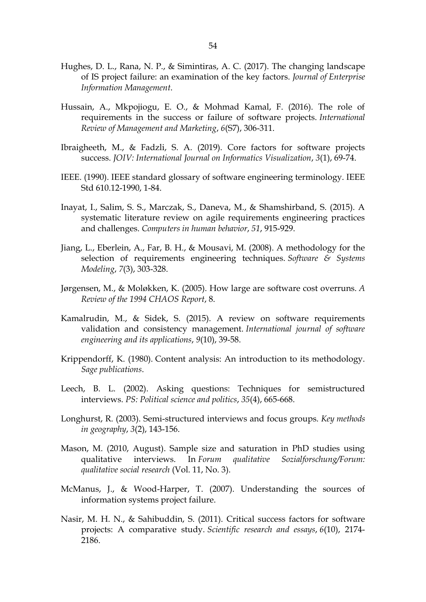- Hughes, D. L., Rana, N. P., & Simintiras, A. C. (2017). The changing landscape of IS project failure: an examination of the key factors. *Journal of Enterprise Information Management*.
- Hussain, A., Mkpojiogu, E. O., & Mohmad Kamal, F. (2016). The role of requirements in the success or failure of software projects. *International Review of Management and Marketing*, *6*(S7), 306-311.
- Ibraigheeth, M., & Fadzli, S. A. (2019). Core factors for software projects success. *JOIV: International Journal on Informatics Visualization*, *3*(1), 69-74.
- IEEE. (1990). IEEE standard glossary of software engineering terminology. IEEE Std 610.12-1990, 1-84.
- Inayat, I., Salim, S. S., Marczak, S., Daneva, M., & Shamshirband, S. (2015). A systematic literature review on agile requirements engineering practices and challenges. *Computers in human behavior*, *51*, 915-929.
- Jiang, L., Eberlein, A., Far, B. H., & Mousavi, M. (2008). A methodology for the selection of requirements engineering techniques. *Software & Systems Modeling*, *7*(3), 303-328.
- Jørgensen, M., & Moløkken, K. (2005). How large are software cost overruns. *A Review of the 1994 CHAOS Report*, 8.
- Kamalrudin, M., & Sidek, S. (2015). A review on software requirements validation and consistency management. *International journal of software engineering and its applications*, *9*(10), 39-58.
- Krippendorff, K. (1980). Content analysis: An introduction to its methodology. *Sage publications*.
- Leech, B. L. (2002). Asking questions: Techniques for semistructured interviews. *PS: Political science and politics*, *35*(4), 665-668.
- Longhurst, R. (2003). Semi-structured interviews and focus groups. *Key methods in geography*, *3*(2), 143-156.
- Mason, M. (2010, August). Sample size and saturation in PhD studies using qualitative interviews. In *Forum qualitative Sozialforschung/Forum: qualitative social research* (Vol. 11, No. 3).
- McManus, J., & Wood-Harper, T. (2007). Understanding the sources of information systems project failure.
- Nasir, M. H. N., & Sahibuddin, S. (2011). Critical success factors for software projects: A comparative study. *Scientific research and essays*, *6*(10), 2174- 2186.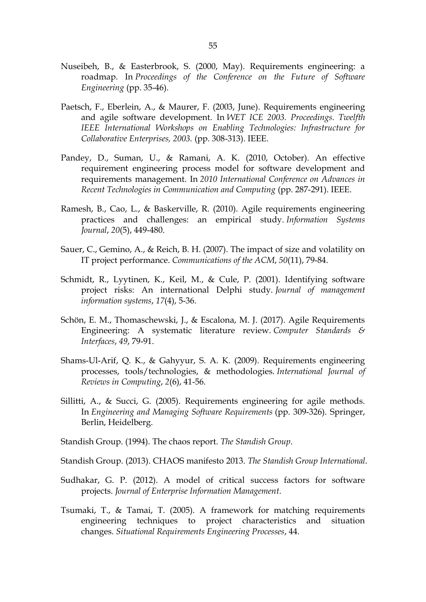- Nuseibeh, B., & Easterbrook, S. (2000, May). Requirements engineering: a roadmap. In *Proceedings of the Conference on the Future of Software Engineering* (pp. 35-46).
- Paetsch, F., Eberlein, A., & Maurer, F. (2003, June). Requirements engineering and agile software development. In *WET ICE 2003. Proceedings. Twelfth IEEE International Workshops on Enabling Technologies: Infrastructure for Collaborative Enterprises, 2003.* (pp. 308-313). IEEE.
- Pandey, D., Suman, U., & Ramani, A. K. (2010, October). An effective requirement engineering process model for software development and requirements management. In *2010 International Conference on Advances in Recent Technologies in Communication and Computing* (pp. 287-291). IEEE.
- Ramesh, B., Cao, L., & Baskerville, R. (2010). Agile requirements engineering practices and challenges: an empirical study. *Information Systems Journal*, *20*(5), 449-480.
- Sauer, C., Gemino, A., & Reich, B. H. (2007). The impact of size and volatility on IT project performance. *Communications of the ACM*, *50*(11), 79-84.
- Schmidt, R., Lyytinen, K., Keil, M., & Cule, P. (2001). Identifying software project risks: An international Delphi study. *Journal of management information systems*, *17*(4), 5-36.
- Schön, E. M., Thomaschewski, J., & Escalona, M. J. (2017). Agile Requirements Engineering: A systematic literature review. *Computer Standards & Interfaces*, *49*, 79-91.
- Shams-Ul-Arif, Q. K., & Gahyyur, S. A. K. (2009). Requirements engineering processes, tools/technologies, & methodologies. *International Journal of Reviews in Computing*, *2*(6), 41-56.
- Sillitti, A., & Succi, G. (2005). Requirements engineering for agile methods. In *Engineering and Managing Software Requirements* (pp. 309-326). Springer, Berlin, Heidelberg.
- Standish Group. (1994). The chaos report. *The Standish Group*.
- Standish Group. (2013). CHAOS manifesto 2013. *The Standish Group International*.
- Sudhakar, G. P. (2012). A model of critical success factors for software projects. *Journal of Enterprise Information Management*.
- Tsumaki, T., & Tamai, T. (2005). A framework for matching requirements engineering techniques to project characteristics and situation changes. *Situational Requirements Engineering Processes*, 44.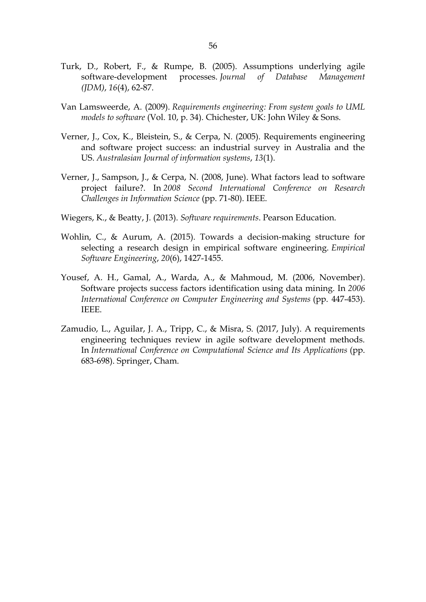- Turk, D., Robert, F., & Rumpe, B. (2005). Assumptions underlying agile software-development processes. *Journal of Database Management (JDM)*, *16*(4), 62-87.
- Van Lamsweerde, A. (2009). *Requirements engineering: From system goals to UML models to software* (Vol. 10, p. 34). Chichester, UK: John Wiley & Sons.
- Verner, J., Cox, K., Bleistein, S., & Cerpa, N. (2005). Requirements engineering and software project success: an industrial survey in Australia and the US. *Australasian Journal of information systems*, *13*(1).
- Verner, J., Sampson, J., & Cerpa, N. (2008, June). What factors lead to software project failure?. In *2008 Second International Conference on Research Challenges in Information Science* (pp. 71-80). IEEE.
- Wiegers, K., & Beatty, J. (2013). *Software requirements*. Pearson Education.
- Wohlin, C., & Aurum, A. (2015). Towards a decision-making structure for selecting a research design in empirical software engineering. *Empirical Software Engineering*, *20*(6), 1427-1455.
- Yousef, A. H., Gamal, A., Warda, A., & Mahmoud, M. (2006, November). Software projects success factors identification using data mining. In *2006 International Conference on Computer Engineering and Systems* (pp. 447-453). IEEE.
- Zamudio, L., Aguilar, J. A., Tripp, C., & Misra, S. (2017, July). A requirements engineering techniques review in agile software development methods. In *International Conference on Computational Science and Its Applications* (pp. 683-698). Springer, Cham.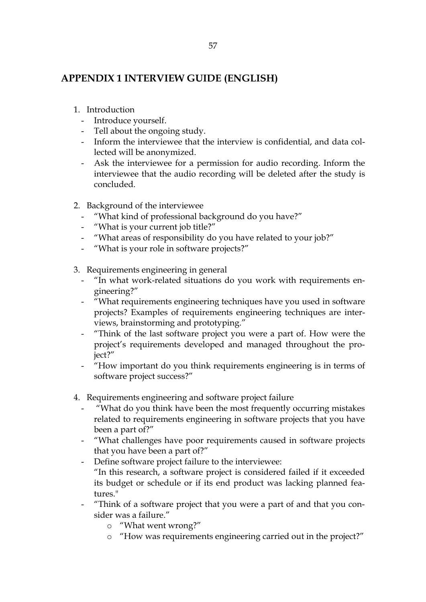## <span id="page-56-0"></span>**APPENDIX 1 INTERVIEW GUIDE (ENGLISH)**

- 1. Introduction
	- Introduce yourself.
	- Tell about the ongoing study.
	- Inform the interviewee that the interview is confidential, and data collected will be anonymized.
	- Ask the interviewee for a permission for audio recording. Inform the interviewee that the audio recording will be deleted after the study is concluded.
- 2. Background of the interviewee
	- "What kind of professional background do you have?"
	- "What is your current job title?"
	- "What areas of responsibility do you have related to your job?"
	- "What is your role in software projects?"
- 3. Requirements engineering in general
	- "In what work-related situations do you work with requirements engineering?"
	- <sup>"</sup>What requirements engineering techniques have you used in software projects? Examples of requirements engineering techniques are interviews, brainstorming and prototyping."
	- "Think of the last software project you were a part of. How were the project's requirements developed and managed throughout the project?"
	- "How important do you think requirements engineering is in terms of software project success?"
- 4. Requirements engineering and software project failure
	- "What do you think have been the most frequently occurring mistakes related to requirements engineering in software projects that you have been a part of?"
	- "What challenges have poor requirements caused in software projects that you have been a part of?"
	- Define software project failure to the interviewee: "In this research, a software project is considered failed if it exceeded its budget or schedule or if its end product was lacking planned features."
	- "Think of a software project that you were a part of and that you consider was a failure."
		- o "What went wrong?"
		- o "How was requirements engineering carried out in the project?"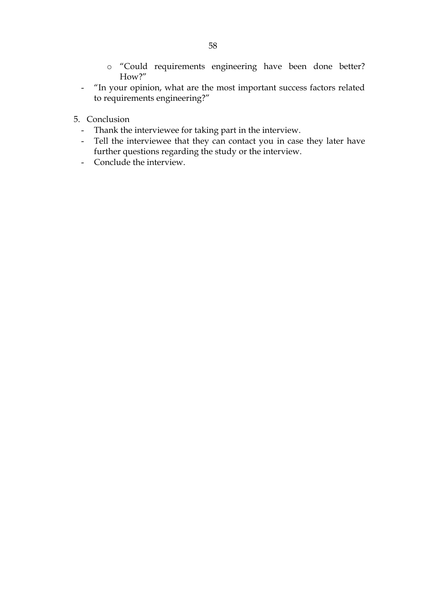- o "Could requirements engineering have been done better? How?"
- "In your opinion, what are the most important success factors related to requirements engineering?"
- 5. Conclusion
	- Thank the interviewee for taking part in the interview.
	- Tell the interviewee that they can contact you in case they later have further questions regarding the study or the interview.
	- Conclude the interview.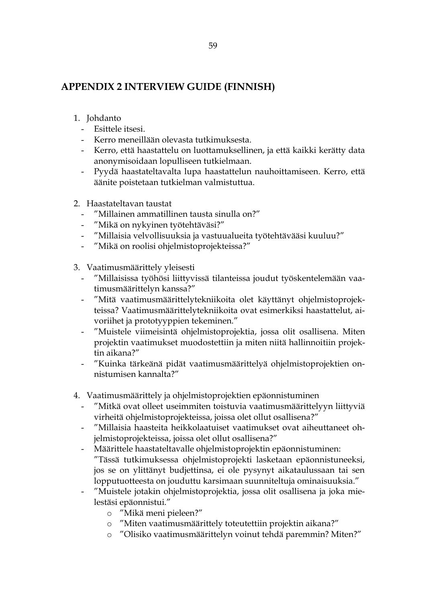# <span id="page-58-0"></span>**APPENDIX 2 INTERVIEW GUIDE (FINNISH)**

- 1. Johdanto
	- Esittele itsesi.
	- Kerro meneillään olevasta tutkimuksesta.
	- Kerro, että haastattelu on luottamuksellinen, ja että kaikki kerätty data anonymisoidaan lopulliseen tutkielmaan.
	- Pyydä haastateltavalta lupa haastattelun nauhoittamiseen. Kerro, että äänite poistetaan tutkielman valmistuttua.
- 2. Haastateltavan taustat
	- "Millainen ammatillinen tausta sinulla on?"
	- "Mikä on nykyinen työtehtäväsi?"
	- "Millaisia velvollisuuksia ja vastuualueita työtehtävääsi kuuluu?"
	- "Mikä on roolisi ohjelmistoprojekteissa?"
- 3. Vaatimusmäärittely yleisesti
	- "Millaisissa työhösi liittyvissä tilanteissa joudut työskentelemään vaatimusmäärittelyn kanssa?"
	- "Mitä vaatimusmäärittelytekniikoita olet käyttänyt ohjelmistoprojekteissa? Vaatimusmäärittelytekniikoita ovat esimerkiksi haastattelut, aivoriihet ja prototyyppien tekeminen."
	- "Muistele viimeisintä ohjelmistoprojektia, jossa olit osallisena. Miten projektin vaatimukset muodostettiin ja miten niitä hallinnoitiin projektin aikana?"
	- "Kuinka tärkeänä pidät vaatimusmäärittelyä ohjelmistoprojektien onnistumisen kannalta?"
- 4. Vaatimusmäärittely ja ohjelmistoprojektien epäonnistuminen
	- "Mitkä ovat olleet useimmiten toistuvia vaatimusmäärittelyyn liittyviä virheitä ohjelmistoprojekteissa, joissa olet ollut osallisena?"
	- "Millaisia haasteita heikkolaatuiset vaatimukset ovat aiheuttaneet ohjelmistoprojekteissa, joissa olet ollut osallisena?"
	- Määrittele haastateltavalle ohjelmistoprojektin epäonnistuminen: "Tässä tutkimuksessa ohjelmistoprojekti lasketaan epäonnistuneeksi, jos se on ylittänyt budjettinsa, ei ole pysynyt aikataulussaan tai sen lopputuotteesta on jouduttu karsimaan suunniteltuja ominaisuuksia."
	- "Muistele jotakin ohjelmistoprojektia, jossa olit osallisena ja joka mielestäsi epäonnistui."
		- o "Mikä meni pieleen?"
		- o "Miten vaatimusmäärittely toteutettiin projektin aikana?"
		- o "Olisiko vaatimusmäärittelyn voinut tehdä paremmin? Miten?"